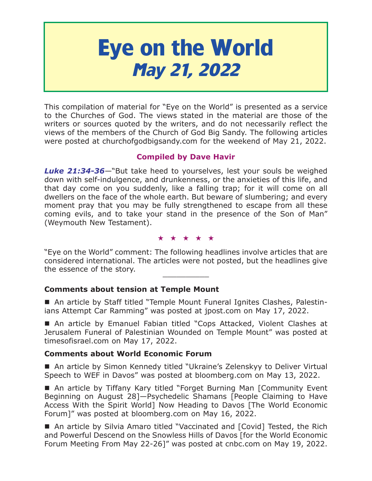# **Eye on the World May 21, 2022**

This compilation of material for "Eye on the World" is presented as a service to the Churches of God. The views stated in the material are those of the writers or sources quoted by the writers, and do not necessarily reflect the views of the members of the Church of God Big Sandy. The following articles were posted at churchofgodbigsandy.com for the weekend of May 21, 2022.

# **Compiled by Dave Havir**

*Luke 21:34-36*—"But take heed to yourselves, lest your souls be weighed down with self-indulgence, and drunkenness, or the anxieties of this life, and that day come on you suddenly, like a falling trap; for it will come on all dwellers on the face of the whole earth. But beware of slumbering; and every moment pray that you may be fully strengthened to escape from all these coming evils, and to take your stand in the presence of the Son of Man" (Weymouth New Testament).

#### ★★★★★

"Eye on the World" comment: The following headlines involve articles that are considered international. The articles were not posted, but the headlines give the essence of the story.

# **Comments about tension at Temple Mount**

 An article by Staff titled "Temple Mount Funeral Ignites Clashes, Palestinians Attempt Car Ramming" was posted at jpost.com on May 17, 2022.

■ An article by Emanuel Fabian titled "Cops Attacked, Violent Clashes at Jerusalem Funeral of Palestinian Wounded on Temple Mount" was posted at timesofisrael.com on May 17, 2022.

# **Comments about World Economic Forum**

■ An article by Simon Kennedy titled "Ukraine's Zelenskyy to Deliver Virtual Speech to WEF in Davos" was posted at bloomberg.com on May 13, 2022.

■ An article by Tiffany Kary titled "Forget Burning Man [Community Event Beginning on August 28]—Psychedelic Shamans [People Claiming to Have Access With the Spirit World] Now Heading to Davos [The World Economic Forum]" was posted at bloomberg.com on May 16, 2022.

■ An article by Silvia Amaro titled "Vaccinated and [Covid] Tested, the Rich and Powerful Descend on the Snowless Hills of Davos [for the World Economic Forum Meeting From May 22-26]" was posted at cnbc.com on May 19, 2022.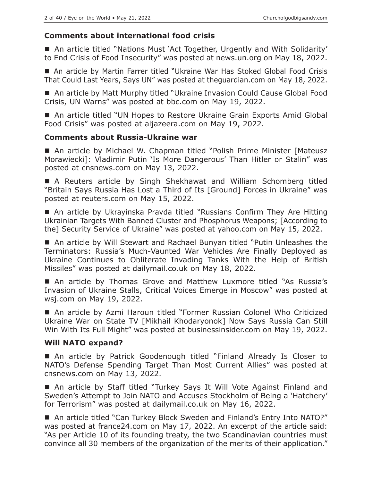## **Comments about international food crisis**

 An article titled "Nations Must 'Act Together, Urgently and With Solidarity' to End Crisis of Food Insecurity" was posted at news.un.org on May 18, 2022.

■ An article by Martin Farrer titled "Ukraine War Has Stoked Global Food Crisis That Could Last Years, Says UN" was posted at theguardian.com on May 18, 2022.

■ An article by Matt Murphy titled "Ukraine Invasion Could Cause Global Food Crisis, UN Warns" was posted at bbc.com on May 19, 2022.

■ An article titled "UN Hopes to Restore Ukraine Grain Exports Amid Global Food Crisis" was posted at aljazeera.com on May 19, 2022.

#### **Comments about Russia-Ukraine war**

 An article by Michael W. Chapman titled "Polish Prime Minister [Mateusz Morawiecki]: Vladimir Putin 'Is More Dangerous' Than Hitler or Stalin" was posted at cnsnews.com on May 13, 2022.

 A Reuters article by Singh Shekhawat and William Schomberg titled "Britain Says Russia Has Lost a Third of Its [Ground] Forces in Ukraine" was posted at reuters.com on May 15, 2022.

■ An article by Ukrayinska Pravda titled "Russians Confirm They Are Hitting Ukrainian Targets With Banned Cluster and Phosphorus Weapons; [According to the] Security Service of Ukraine" was posted at yahoo.com on May 15, 2022.

■ An article by Will Stewart and Rachael Bunyan titled "Putin Unleashes the Terminators: Russia's Much-Vaunted War Vehicles Are Finally Deployed as Ukraine Continues to Obliterate Invading Tanks With the Help of British Missiles" was posted at dailymail.co.uk on May 18, 2022.

■ An article by Thomas Grove and Matthew Luxmore titled "As Russia's Invasion of Ukraine Stalls, Critical Voices Emerge in Moscow" was posted at wsj.com on May 19, 2022.

 An article by Azmi Haroun titled "Former Russian Colonel Who Criticized Ukraine War on State TV [Mikhail Khodaryonok] Now Says Russia Can Still Win With Its Full Might" was posted at businessinsider.com on May 19, 2022.

## **Will NATO expand?**

 An article by Patrick Goodenough titled "Finland Already Is Closer to NATO's Defense Spending Target Than Most Current Allies" was posted at cnsnews.com on May 13, 2022.

■ An article by Staff titled "Turkey Says It Will Vote Against Finland and Sweden's Attempt to Join NATO and Accuses Stockholm of Being a 'Hatchery' for Terrorism" was posted at dailymail.co.uk on May 16, 2022.

■ An article titled "Can Turkey Block Sweden and Finland's Entry Into NATO?" was posted at france24.com on May 17, 2022. An excerpt of the article said: "As per Article 10 of its founding treaty, the two Scandinavian countries must convince all 30 members of the organization of the merits of their application."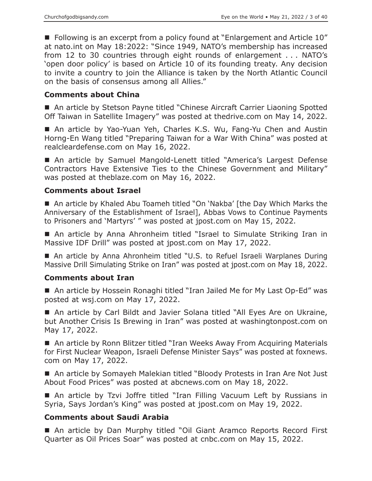■ Following is an excerpt from a policy found at "Enlargement and Article 10" at nato.int on May 18:2022: "Since 1949, NATO's membership has increased from 12 to 30 countries through eight rounds of enlargement . . . NATO's 'open door policy' is based on Article 10 of its founding treaty. Any decision to invite a country to join the Alliance is taken by the North Atlantic Council on the basis of consensus among all Allies."

#### **Comments about China**

■ An article by Stetson Payne titled "Chinese Aircraft Carrier Liaoning Spotted Off Taiwan in Satellite Imagery" was posted at thedrive.com on May 14, 2022.

 An article by Yao-Yuan Yeh, Charles K.S. Wu, Fang-Yu Chen and Austin Horng-En Wang titled "Preparing Taiwan for a War With China" was posted at realcleardefense.com on May 16, 2022.

■ An article by Samuel Mangold-Lenett titled "America's Largest Defense Contractors Have Extensive Ties to the Chinese Government and Military" was posted at theblaze.com on May 16, 2022.

#### **Comments about Israel**

■ An article by Khaled Abu Toameh titled "On 'Nakba' [the Day Which Marks the Anniversary of the Establishment of Israel], Abbas Vows to Continue Payments to Prisoners and 'Martyrs' " was posted at jpost.com on May 15, 2022.

 An article by Anna Ahronheim titled "Israel to Simulate Striking Iran in Massive IDF Drill" was posted at jpost.com on May 17, 2022.

■ An article by Anna Ahronheim titled "U.S. to Refuel Israeli Warplanes During Massive Drill Simulating Strike on Iran" was posted at jpost.com on May 18, 2022.

#### **Comments about Iran**

■ An article by Hossein Ronaghi titled "Iran Jailed Me for My Last Op-Ed" was posted at wsj.com on May 17, 2022.

 An article by Carl Bildt and Javier Solana titled "All Eyes Are on Ukraine, but Another Crisis Is Brewing in Iran" was posted at washingtonpost.com on May 17, 2022.

■ An article by Ronn Blitzer titled "Iran Weeks Away From Acquiring Materials for First Nuclear Weapon, Israeli Defense Minister Says" was posted at foxnews. com on May 17, 2022.

■ An article by Somayeh Malekian titled "Bloody Protests in Iran Are Not Just About Food Prices" was posted at abcnews.com on May 18, 2022.

 An article by Tzvi Joffre titled "Iran Filling Vacuum Left by Russians in Syria, Says Jordan's King" was posted at jpost.com on May 19, 2022.

## **Comments about Saudi Arabia**

■ An article by Dan Murphy titled "Oil Giant Aramco Reports Record First Quarter as Oil Prices Soar" was posted at cnbc.com on May 15, 2022.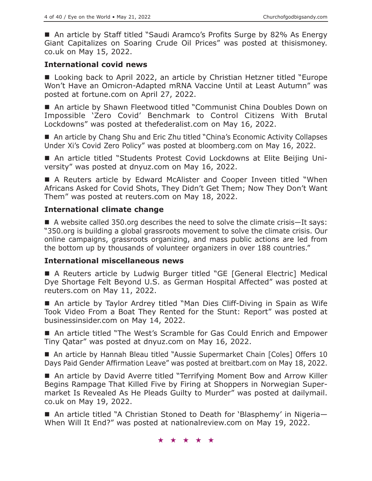■ An article by Staff titled "Saudi Aramco's Profits Surge by 82% As Energy Giant Capitalizes on Soaring Crude Oil Prices" was posted at thisismoney. co.uk on May 15, 2022.

#### **International covid news**

■ Looking back to April 2022, an article by Christian Hetzner titled "Europe Won't Have an Omicron-Adapted mRNA Vaccine Until at Least Autumn" was posted at fortune.com on April 27, 2022.

■ An article by Shawn Fleetwood titled "Communist China Doubles Down on Impossible 'Zero Covid' Benchmark to Control Citizens With Brutal Lockdowns" was posted at thefederalist.com on May 16, 2022.

■ An article by Chang Shu and Eric Zhu titled "China's Economic Activity Collapses Under Xi's Covid Zero Policy" was posted at bloomberg.com on May 16, 2022.

 An article titled "Students Protest Covid Lockdowns at Elite Beijing University" was posted at dnyuz.com on May 16, 2022.

 A Reuters article by Edward McAlister and Cooper Inveen titled "When Africans Asked for Covid Shots, They Didn't Get Them; Now They Don't Want Them" was posted at reuters.com on May 18, 2022.

#### **International climate change**

■ A website called 350.org describes the need to solve the climate crisis—It says: "350.org is building a global grassroots movement to solve the climate crisis. Our online campaigns, grassroots organizing, and mass public actions are led from the bottom up by thousands of volunteer organizers in over 188 countries."

#### **International miscellaneous news**

 A Reuters article by Ludwig Burger titled "GE [General Electric] Medical Dye Shortage Felt Beyond U.S. as German Hospital Affected" was posted at reuters.com on May 11, 2022.

■ An article by Taylor Ardrey titled "Man Dies Cliff-Diving in Spain as Wife Took Video From a Boat They Rented for the Stunt: Report" was posted at businessinsider.com on May 14, 2022.

■ An article titled "The West's Scramble for Gas Could Enrich and Empower Tiny Qatar" was posted at dnyuz.com on May 16, 2022.

■ An article by Hannah Bleau titled "Aussie Supermarket Chain [Coles] Offers 10 Days Paid Gender Affirmation Leave" was posted at breitbart.com on May 18, 2022.

■ An article by David Averre titled "Terrifying Moment Bow and Arrow Killer Begins Rampage That Killed Five by Firing at Shoppers in Norwegian Supermarket Is Revealed As He Pleads Guilty to Murder" was posted at dailymail. co.uk on May 19, 2022.

■ An article titled "A Christian Stoned to Death for 'Blasphemy' in Nigeria-When Will It End?" was posted at nationalreview.com on May 19, 2022.

★★★★★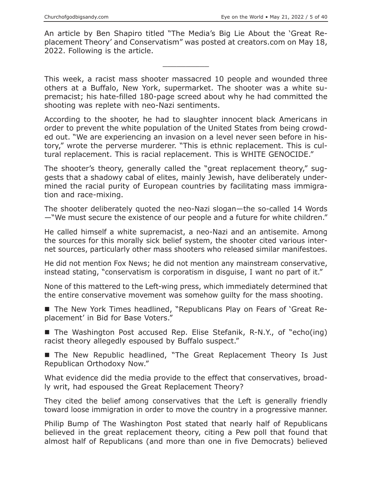An article by Ben Shapiro titled "The Media's Big Lie About the 'Great Replacement Theory' and Conservatism" was posted at creators.com on May 18, 2022. Following is the article.

 $\overline{\phantom{a}}$  , where  $\overline{\phantom{a}}$ 

This week, a racist mass shooter massacred 10 people and wounded three others at a Buffalo, New York, supermarket. The shooter was a white supremacist; his hate-filled 180-page screed about why he had committed the shooting was replete with neo-Nazi sentiments.

According to the shooter, he had to slaughter innocent black Americans in order to prevent the white population of the United States from being crowded out. "We are experiencing an invasion on a level never seen before in history," wrote the perverse murderer. "This is ethnic replacement. This is cultural replacement. This is racial replacement. This is WHITE GENOCIDE."

The shooter's theory, generally called the "great replacement theory," suggests that a shadowy cabal of elites, mainly Jewish, have deliberately undermined the racial purity of European countries by facilitating mass immigration and race-mixing.

The shooter deliberately quoted the neo-Nazi slogan—the so-called 14 Words —"We must secure the existence of our people and a future for white children."

He called himself a white supremacist, a neo-Nazi and an antisemite. Among the sources for this morally sick belief system, the shooter cited various internet sources, particularly other mass shooters who released similar manifestoes.

He did not mention Fox News; he did not mention any mainstream conservative, instead stating, "conservatism is corporatism in disguise, I want no part of it."

None of this mattered to the Left-wing press, which immediately determined that the entire conservative movement was somehow guilty for the mass shooting.

■ The New York Times headlined, "Republicans Play on Fears of 'Great Replacement' in Bid for Base Voters."

■ The Washington Post accused Rep. Elise Stefanik, R-N.Y., of "echo(ing) racist theory allegedly espoused by Buffalo suspect."

■ The New Republic headlined, "The Great Replacement Theory Is Just Republican Orthodoxy Now."

What evidence did the media provide to the effect that conservatives, broadly writ, had espoused the Great Replacement Theory?

They cited the belief among conservatives that the Left is generally friendly toward loose immigration in order to move the country in a progressive manner.

Philip Bump of The Washington Post stated that nearly half of Republicans believed in the great replacement theory, citing a Pew poll that found that almost half of Republicans (and more than one in five Democrats) believed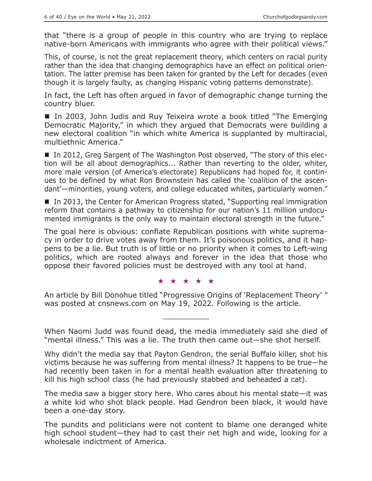that "there is a group of people in this country who are trying to replace native-born Americans with immigrants who agree with their political views."

This, of course, is not the great replacement theory, which centers on racial purity rather than the idea that changing demographics have an effect on political orientation. The latter premise has been taken for granted by the Left for decades (even though it is largely faulty, as changing Hispanic voting patterns demonstrate).

In fact, the Left has often argued in favor of demographic change turning the country bluer.

■ In 2003, John Judis and Ruy Teixeira wrote a book titled "The Emerging Democratic Majority," in which they argued that Democrats were building a new electoral coalition "in which white America is supplanted by multiracial, multiethnic America."

■ In 2012, Greg Sargent of The Washington Post observed, "The story of this election will be all about demographics... Rather than reverting to the older, whiter, more male version (of America's electorate) Republicans had hoped for, it continues to be defined by what Ron Brownstein has called the 'coalition of the ascendant'—minorities, young voters, and college educated whites, particularly women."

■ In 2013, the Center for American Progress stated, "Supporting real immigration reform that contains a pathway to citizenship for our nation's 11 million undocumented immigrants is the only way to maintain electoral strength in the future."

The goal here is obvious: conflate Republican positions with white supremacy in order to drive votes away from them. It's poisonous politics, and it happens to be a lie. But truth is of little or no priority when it comes to Left-wing politics, which are rooted always and forever in the idea that those who oppose their favored policies must be destroyed with any tool at hand.

★★★★★

An article by Bill Donohue titled "Progressive Origins of 'Replacement Theory' " was posted at cnsnews.com on May 19, 2022. Following is the article.

 $\overline{\phantom{a}}$  , where  $\overline{\phantom{a}}$ 

When Naomi Judd was found dead, the media immediately said she died of "mental illness." This was a lie. The truth then came out—she shot herself.

Why didn't the media say that Payton Gendron, the serial Buffalo killer, shot his victims because he was suffering from mental illness? It happens to be true—he had recently been taken in for a mental health evaluation after threatening to kill his high school class (he had previously stabbed and beheaded a cat).

The media saw a bigger story here. Who cares about his mental state—it was a white kid who shot black people. Had Gendron been black, it would have been a one-day story.

The pundits and politicians were not content to blame one deranged white high school student—they had to cast their net high and wide, looking for a wholesale indictment of America.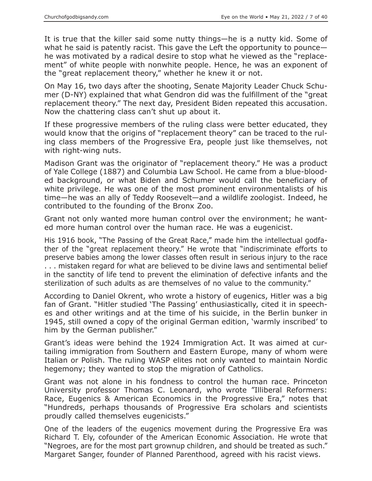It is true that the killer said some nutty things—he is a nutty kid. Some of what he said is patently racist. This gave the Left the opportunity to pounce he was motivated by a radical desire to stop what he viewed as the "replacement" of white people with nonwhite people. Hence, he was an exponent of the "great replacement theory," whether he knew it or not.

On May 16, two days after the shooting, Senate Majority Leader Chuck Schumer (D-NY) explained that what Gendron did was the fulfillment of the "great replacement theory." The next day, President Biden repeated this accusation. Now the chattering class can't shut up about it.

If these progressive members of the ruling class were better educated, they would know that the origins of "replacement theory" can be traced to the ruling class members of the Progressive Era, people just like themselves, not with right-wing nuts.

Madison Grant was the originator of "replacement theory." He was a product of Yale College (1887) and Columbia Law School. He came from a blue-blooded background, or what Biden and Schumer would call the beneficiary of white privilege. He was one of the most prominent environmentalists of his time—he was an ally of Teddy Roosevelt—and a wildlife zoologist. Indeed, he contributed to the founding of the Bronx Zoo.

Grant not only wanted more human control over the environment; he wanted more human control over the human race. He was a eugenicist.

His 1916 book, "The Passing of the Great Race," made him the intellectual godfather of the "great replacement theory." He wrote that "indiscriminate efforts to preserve babies among the lower classes often result in serious injury to the race ... mistaken regard for what are believed to be divine laws and sentimental belief in the sanctity of life tend to prevent the elimination of defective infants and the sterilization of such adults as are themselves of no value to the community."

According to Daniel Okrent, who wrote a history of eugenics, Hitler was a big fan of Grant. "Hitler studied 'The Passing' enthusiastically, cited it in speeches and other writings and at the time of his suicide, in the Berlin bunker in 1945, still owned a copy of the original German edition, 'warmly inscribed' to him by the German publisher."

Grant's ideas were behind the 1924 Immigration Act. It was aimed at curtailing immigration from Southern and Eastern Europe, many of whom were Italian or Polish. The ruling WASP elites not only wanted to maintain Nordic hegemony; they wanted to stop the migration of Catholics.

Grant was not alone in his fondness to control the human race. Princeton University professor Thomas C. Leonard, who wrote "Illiberal Reformers: Race, Eugenics & American Economics in the Progressive Era," notes that "Hundreds, perhaps thousands of Progressive Era scholars and scientists proudly called themselves eugenicists."

One of the leaders of the eugenics movement during the Progressive Era was Richard T. Ely, cofounder of the American Economic Association. He wrote that "Negroes, are for the most part grownup children, and should be treated as such." Margaret Sanger, founder of Planned Parenthood, agreed with his racist views.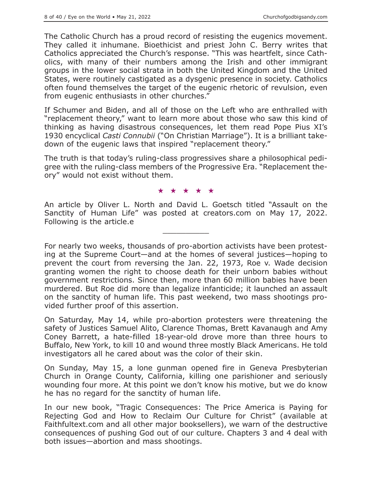The Catholic Church has a proud record of resisting the eugenics movement. They called it inhumane. Bioethicist and priest John C. Berry writes that Catholics appreciated the Church's response. "This was heartfelt, since Catholics, with many of their numbers among the Irish and other immigrant groups in the lower social strata in both the United Kingdom and the United States, were routinely castigated as a dysgenic presence in society. Catholics often found themselves the target of the eugenic rhetoric of revulsion, even from eugenic enthusiasts in other churches."

If Schumer and Biden, and all of those on the Left who are enthralled with "replacement theory," want to learn more about those who saw this kind of thinking as having disastrous consequences, let them read Pope Pius XI's 1930 encyclical *Casti Connubii* ("On Christian Marriage"). It is a brilliant takedown of the eugenic laws that inspired "replacement theory."

The truth is that today's ruling-class progressives share a philosophical pedigree with the ruling-class members of the Progressive Era. "Replacement theory" would not exist without them.

#### ★★★★★

An article by Oliver L. North and David L. Goetsch titled "Assault on the Sanctity of Human Life" was posted at creators.com on May 17, 2022. Following is the article.e

 $\overline{\phantom{a}}$  , where  $\overline{\phantom{a}}$ 

For nearly two weeks, thousands of pro-abortion activists have been protesting at the Supreme Court—and at the homes of several justices—hoping to prevent the court from reversing the Jan. 22, 1973, Roe v. Wade decision granting women the right to choose death for their unborn babies without government restrictions. Since then, more than 60 million babies have been murdered. But Roe did more than legalize infanticide; it launched an assault on the sanctity of human life. This past weekend, two mass shootings provided further proof of this assertion.

On Saturday, May 14, while pro-abortion protesters were threatening the safety of Justices Samuel Alito, Clarence Thomas, Brett Kavanaugh and Amy Coney Barrett, a hate-filled 18-year-old drove more than three hours to Buffalo, New York, to kill 10 and wound three mostly Black Americans. He told investigators all he cared about was the color of their skin.

On Sunday, May 15, a lone gunman opened fire in Geneva Presbyterian Church in Orange County, California, killing one parishioner and seriously wounding four more. At this point we don't know his motive, but we do know he has no regard for the sanctity of human life.

In our new book, "Tragic Consequences: The Price America is Paying for Rejecting God and How to Reclaim Our Culture for Christ" (available at Faithfultext.com and all other major booksellers), we warn of the destructive consequences of pushing God out of our culture. Chapters 3 and 4 deal with both issues—abortion and mass shootings.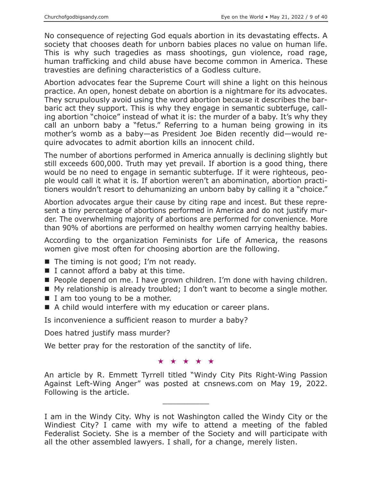No consequence of rejecting God equals abortion in its devastating effects. A society that chooses death for unborn babies places no value on human life. This is why such tragedies as mass shootings, gun violence, road rage, human trafficking and child abuse have become common in America. These travesties are defining characteristics of a Godless culture.

Abortion advocates fear the Supreme Court will shine a light on this heinous practice. An open, honest debate on abortion is a nightmare for its advocates. They scrupulously avoid using the word abortion because it describes the barbaric act they support. This is why they engage in semantic subterfuge, calling abortion "choice" instead of what it is: the murder of a baby. It's why they call an unborn baby a "fetus." Referring to a human being growing in its mother's womb as a baby—as President Joe Biden recently did—would require advocates to admit abortion kills an innocent child.

The number of abortions performed in America annually is declining slightly but still exceeds 600,000. Truth may yet prevail. If abortion is a good thing, there would be no need to engage in semantic subterfuge. If it were righteous, people would call it what it is. If abortion weren't an abomination, abortion practitioners wouldn't resort to dehumanizing an unborn baby by calling it a "choice."

Abortion advocates argue their cause by citing rape and incest. But these represent a tiny percentage of abortions performed in America and do not justify murder. The overwhelming majority of abortions are performed for convenience. More than 90% of abortions are performed on healthy women carrying healthy babies.

According to the organization Feminists for Life of America, the reasons women give most often for choosing abortion are the following.

- $\blacksquare$  The timing is not good; I'm not ready.
- I cannot afford a baby at this time.
- **People depend on me. I have grown children. I'm done with having children.**
- My relationship is already troubled; I don't want to become a single mother.
- $\blacksquare$  I am too young to be a mother.
- A child would interfere with my education or career plans.

Is inconvenience a sufficient reason to murder a baby?

Does hatred justify mass murder?

We better pray for the restoration of the sanctity of life.

#### ★★★★★

An article by R. Emmett Tyrrell titled "Windy City Pits Right-Wing Passion Against Left-Wing Anger" was posted at cnsnews.com on May 19, 2022. Following is the article.

 $\overline{\phantom{a}}$  , where  $\overline{\phantom{a}}$ 

I am in the Windy City. Why is not Washington called the Windy City or the Windiest City? I came with my wife to attend a meeting of the fabled Federalist Society. She is a member of the Society and will participate with all the other assembled lawyers. I shall, for a change, merely listen.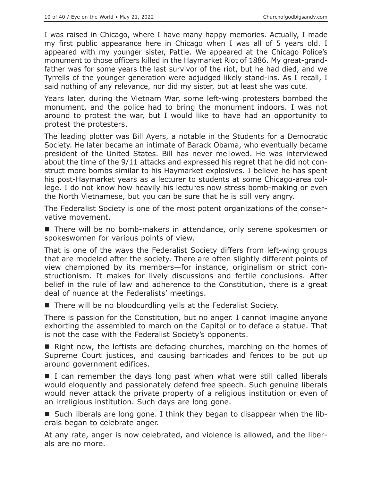I was raised in Chicago, where I have many happy memories. Actually, I made my first public appearance here in Chicago when I was all of 5 years old. I appeared with my younger sister, Pattie. We appeared at the Chicago Police's monument to those officers killed in the Haymarket Riot of 1886. My great-grandfather was for some years the last survivor of the riot, but he had died, and we Tyrrells of the younger generation were adjudged likely stand-ins. As I recall, I said nothing of any relevance, nor did my sister, but at least she was cute.

Years later, during the Vietnam War, some left-wing protesters bombed the monument, and the police had to bring the monument indoors. I was not around to protest the war, but I would like to have had an opportunity to protest the protesters.

The leading plotter was Bill Ayers, a notable in the Students for a Democratic Society. He later became an intimate of Barack Obama, who eventually became president of the United States. Bill has never mellowed. He was interviewed about the time of the 9/11 attacks and expressed his regret that he did not construct more bombs similar to his Haymarket explosives. I believe he has spent his post-Haymarket years as a lecturer to students at some Chicago-area college. I do not know how heavily his lectures now stress bomb-making or even the North Vietnamese, but you can be sure that he is still very angry.

The Federalist Society is one of the most potent organizations of the conservative movement.

 There will be no bomb-makers in attendance, only serene spokesmen or spokeswomen for various points of view.

That is one of the ways the Federalist Society differs from left-wing groups that are modeled after the society. There are often slightly different points of view championed by its members—for instance, originalism or strict constructionism. It makes for lively discussions and fertile conclusions. After belief in the rule of law and adherence to the Constitution, there is a great deal of nuance at the Federalists' meetings.

■ There will be no bloodcurdling yells at the Federalist Society.

There is passion for the Constitution, but no anger. I cannot imagine anyone exhorting the assembled to march on the Capitol or to deface a statue. That is not the case with the Federalist Society's opponents.

 $\blacksquare$  Right now, the leftists are defacing churches, marching on the homes of Supreme Court justices, and causing barricades and fences to be put up around government edifices.

I can remember the days long past when what were still called liberals would eloquently and passionately defend free speech. Such genuine liberals would never attack the private property of a religious institution or even of an irreligious institution. Such days are long gone.

■ Such liberals are long gone. I think they began to disappear when the liberals began to celebrate anger.

At any rate, anger is now celebrated, and violence is allowed, and the liberals are no more.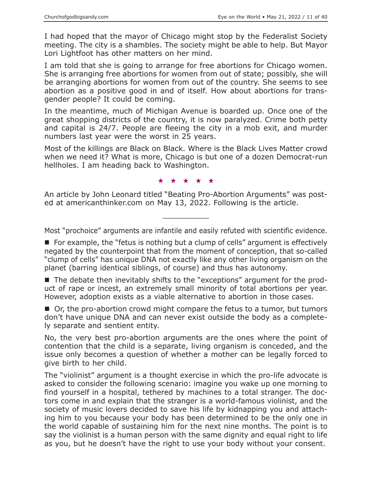I had hoped that the mayor of Chicago might stop by the Federalist Society meeting. The city is a shambles. The society might be able to help. But Mayor Lori Lightfoot has other matters on her mind.

I am told that she is going to arrange for free abortions for Chicago women. She is arranging free abortions for women from out of state; possibly, she will be arranging abortions for women from out of the country. She seems to see abortion as a positive good in and of itself. How about abortions for transgender people? It could be coming.

In the meantime, much of Michigan Avenue is boarded up. Once one of the great shopping districts of the country, it is now paralyzed. Crime both petty and capital is 24/7. People are fleeing the city in a mob exit, and murder numbers last year were the worst in 25 years.

Most of the killings are Black on Black. Where is the Black Lives Matter crowd when we need it? What is more, Chicago is but one of a dozen Democrat-run hellholes. I am heading back to Washington.

★★★★★

An article by John Leonard titled "Beating Pro-Abortion Arguments" was posted at americanthinker.com on May 13, 2022. Following is the article.

Most "prochoice" arguments are infantile and easily refuted with scientific evidence.

 $\overline{\phantom{a}}$  , where  $\overline{\phantom{a}}$ 

 $\blacksquare$  For example, the "fetus is nothing but a clump of cells" argument is effectively negated by the counterpoint that from the moment of conception, that so-called "clump of cells" has unique DNA not exactly like any other living organism on the planet (barring identical siblings, of course) and thus has autonomy.

The debate then inevitably shifts to the "exceptions" argument for the product of rape or incest, an extremely small minority of total abortions per year. However, adoption exists as a viable alternative to abortion in those cases.

■ Or, the pro-abortion crowd might compare the fetus to a tumor, but tumors don't have unique DNA and can never exist outside the body as a completely separate and sentient entity.

No, the very best pro-abortion arguments are the ones where the point of contention that the child is a separate, living organism is conceded, and the issue only becomes a question of whether a mother can be legally forced to give birth to her child.

The "violinist" argument is a thought exercise in which the pro-life advocate is asked to consider the following scenario: imagine you wake up one morning to find yourself in a hospital, tethered by machines to a total stranger. The doctors come in and explain that the stranger is a world-famous violinist, and the society of music lovers decided to save his life by kidnapping you and attaching him to you because your body has been determined to be the only one in the world capable of sustaining him for the next nine months. The point is to say the violinist is a human person with the same dignity and equal right to life as you, but he doesn't have the right to use your body without your consent.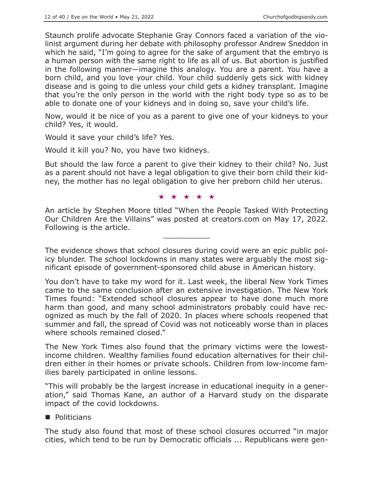Staunch prolife advocate Stephanie Gray Connors faced a variation of the violinist argument during her debate with philosophy professor Andrew Sneddon in which he said, "I'm going to agree for the sake of argument that the embryo is a human person with the same right to life as all of us. But abortion is justified in the following manner—imagine this analogy. You are a parent. You have a born child, and you love your child. Your child suddenly gets sick with kidney disease and is going to die unless your child gets a kidney transplant. Imagine that you're the only person in the world with the right body type so as to be able to donate one of your kidneys and in doing so, save your child's life.

Now, would it be nice of you as a parent to give one of your kidneys to your child? Yes, it would.

Would it save your child's life? Yes.

Would it kill you? No, you have two kidneys.

But should the law force a parent to give their kidney to their child? No. Just as a parent should not have a legal obligation to give their born child their kidney, the mother has no legal obligation to give her preborn child her uterus.

★★★★★

An article by Stephen Moore titled "When the People Tasked With Protecting Our Children Are the Villains" was posted at creators.com on May 17, 2022. Following is the article.  $\overline{\phantom{a}}$  , where  $\overline{\phantom{a}}$ 

The evidence shows that school closures during covid were an epic public policy blunder. The school lockdowns in many states were arguably the most significant episode of government-sponsored child abuse in American history.

You don't have to take my word for it. Last week, the liberal New York Times came to the same conclusion after an extensive investigation. The New York Times found: "Extended school closures appear to have done much more harm than good, and many school administrators probably could have recognized as much by the fall of 2020. In places where schools reopened that summer and fall, the spread of Covid was not noticeably worse than in places where schools remained closed."

The New York Times also found that the primary victims were the lowestincome children. Wealthy families found education alternatives for their children either in their homes or private schools. Children from low-income families barely participated in online lessons.

"This will probably be the largest increase in educational inequity in a generation," said Thomas Kane, an author of a Harvard study on the disparate impact of the covid lockdowns.

**Politicians** 

The study also found that most of these school closures occurred "in major cities, which tend to be run by Democratic officials ... Republicans were gen-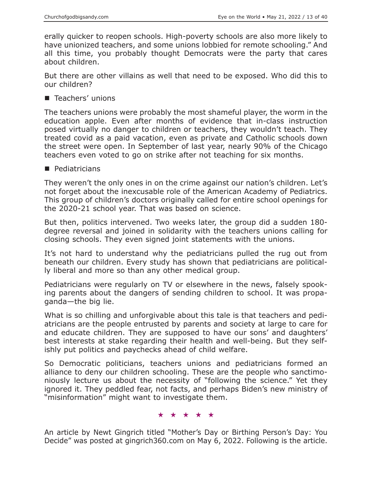erally quicker to reopen schools. High-poverty schools are also more likely to have unionized teachers, and some unions lobbied for remote schooling." And all this time, you probably thought Democrats were the party that cares about children.

But there are other villains as well that need to be exposed. Who did this to our children?

■ Teachers' unions

The teachers unions were probably the most shameful player, the worm in the education apple. Even after months of evidence that in-class instruction posed virtually no danger to children or teachers, they wouldn't teach. They treated covid as a paid vacation, even as private and Catholic schools down the street were open. In September of last year, nearly 90% of the Chicago teachers even voted to go on strike after not teaching for six months.

#### **Pediatricians**

They weren't the only ones in on the crime against our nation's children. Let's not forget about the inexcusable role of the American Academy of Pediatrics. This group of children's doctors originally called for entire school openings for the 2020-21 school year. That was based on science.

But then, politics intervened. Two weeks later, the group did a sudden 180 degree reversal and joined in solidarity with the teachers unions calling for closing schools. They even signed joint statements with the unions.

It's not hard to understand why the pediatricians pulled the rug out from beneath our children. Every study has shown that pediatricians are politically liberal and more so than any other medical group.

Pediatricians were regularly on TV or elsewhere in the news, falsely spooking parents about the dangers of sending children to school. It was propaganda—the big lie.

What is so chilling and unforgivable about this tale is that teachers and pediatricians are the people entrusted by parents and society at large to care for and educate children. They are supposed to have our sons' and daughters' best interests at stake regarding their health and well-being. But they selfishly put politics and paychecks ahead of child welfare.

So Democratic politicians, teachers unions and pediatricians formed an alliance to deny our children schooling. These are the people who sanctimoniously lecture us about the necessity of "following the science." Yet they ignored it. They peddled fear, not facts, and perhaps Biden's new ministry of "misinformation" might want to investigate them.

#### ★★★★★

An article by Newt Gingrich titled "Mother's Day or Birthing Person's Day: You Decide" was posted at gingrich360.com on May 6, 2022. Following is the article.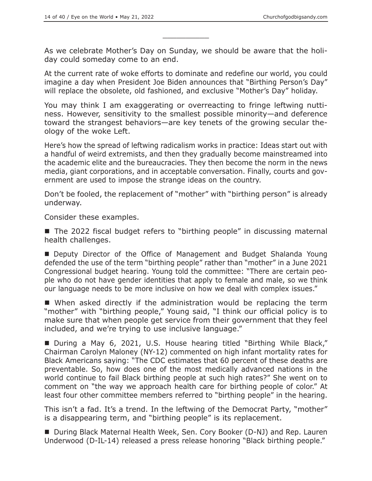As we celebrate Mother's Day on Sunday, we should be aware that the holiday could someday come to an end.

 $\overline{\phantom{a}}$  , where  $\overline{\phantom{a}}$ 

At the current rate of woke efforts to dominate and redefine our world, you could imagine a day when President Joe Biden announces that "Birthing Person's Day" will replace the obsolete, old fashioned, and exclusive "Mother's Day" holiday.

You may think I am exaggerating or overreacting to fringe leftwing nuttiness. However, sensitivity to the smallest possible minority—and deference toward the strangest behaviors—are key tenets of the growing secular theology of the woke Left.

Here's how the spread of leftwing radicalism works in practice: Ideas start out with a handful of weird extremists, and then they gradually become mainstreamed into the academic elite and the bureaucracies. They then become the norm in the news media, giant corporations, and in acceptable conversation. Finally, courts and government are used to impose the strange ideas on the country.

Don't be fooled, the replacement of "mother" with "birthing person" is already underway.

Consider these examples.

■ The 2022 fiscal budget refers to "birthing people" in discussing maternal health challenges.

■ Deputy Director of the Office of Management and Budget Shalanda Young defended the use of the term "birthing people" rather than "mother" in a June 2021 Congressional budget hearing. Young told the committee: "There are certain people who do not have gender identities that apply to female and male, so we think our language needs to be more inclusive on how we deal with complex issues."

 When asked directly if the administration would be replacing the term "mother" with "birthing people," Young said, "I think our official policy is to make sure that when people get service from their government that they feel included, and we're trying to use inclusive language."

■ During a May 6, 2021, U.S. House hearing titled "Birthing While Black," Chairman Carolyn Maloney (NY-12) commented on high infant mortality rates for Black Americans saying: "The CDC estimates that 60 percent of these deaths are preventable. So, how does one of the most medically advanced nations in the world continue to fail Black birthing people at such high rates?" She went on to comment on "the way we approach health care for birthing people of color." At least four other committee members referred to "birthing people" in the hearing.

This isn't a fad. It's a trend. In the leftwing of the Democrat Party, "mother" is a disappearing term, and "birthing people" is its replacement.

■ During Black Maternal Health Week, Sen. Cory Booker (D-NJ) and Rep. Lauren Underwood (D-IL-14) released a press release honoring "Black birthing people."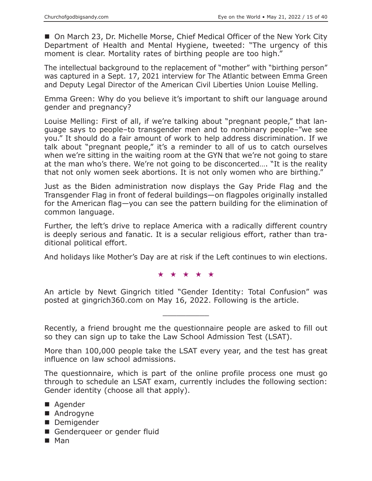■ On March 23, Dr. Michelle Morse, Chief Medical Officer of the New York Citv Department of Health and Mental Hygiene, tweeted: "The urgency of this moment is clear. Mortality rates of birthing people are too high."

The intellectual background to the replacement of "mother" with "birthing person" was captured in a Sept. 17, 2021 interview for The Atlantic between Emma Green and Deputy Legal Director of the American Civil Liberties Union Louise Melling.

Emma Green: Why do you believe it's important to shift our language around gender and pregnancy?

Louise Melling: First of all, if we're talking about "pregnant people," that language says to people–to transgender men and to nonbinary people–"we see you." It should do a fair amount of work to help address discrimination. If we talk about "pregnant people," it's a reminder to all of us to catch ourselves when we're sitting in the waiting room at the GYN that we're not going to stare at the man who's there. We're not going to be disconcerted…. "It is the reality that not only women seek abortions. It is not only women who are birthing."

Just as the Biden administration now displays the Gay Pride Flag and the Transgender Flag in front of federal buildings—on flagpoles originally installed for the American flag—you can see the pattern building for the elimination of common language.

Further, the left's drive to replace America with a radically different country is deeply serious and fanatic. It is a secular religious effort, rather than traditional political effort.

And holidays like Mother's Day are at risk if the Left continues to win elections.

★★★★★

An article by Newt Gingrich titled "Gender Identity: Total Confusion" was posted at gingrich360.com on May 16, 2022. Following is the article.

 $\overline{\phantom{a}}$  , where  $\overline{\phantom{a}}$ 

Recently, a friend brought me the questionnaire people are asked to fill out so they can sign up to take the Law School Admission Test (LSAT).

More than 100,000 people take the LSAT every year, and the test has great influence on law school admissions.

The questionnaire, which is part of the online profile process one must go through to schedule an LSAT exam, currently includes the following section: Gender identity (choose all that apply).

- Agender
- Androgyne
- Demigender
- Genderqueer or gender fluid
- Man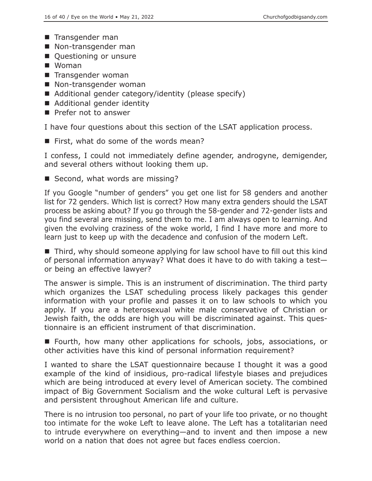- $\blacksquare$  Transgender man
- Non-transgender man
- Questioning or unsure
- Woman
- $\blacksquare$  Transgender woman
- Non-transgender woman
- Additional gender category/identity (please specify)
- Additional gender identity
- **Prefer not to answer**

I have four questions about this section of the LSAT application process.

First, what do some of the words mean?

I confess, I could not immediately define agender, androgyne, demigender, and several others without looking them up.

Second, what words are missing?

If you Google "number of genders" you get one list for 58 genders and another list for 72 genders. Which list is correct? How many extra genders should the LSAT process be asking about? If you go through the 58-gender and 72-gender lists and you find several are missing, send them to me. I am always open to learning. And given the evolving craziness of the woke world, I find I have more and more to learn just to keep up with the decadence and confusion of the modern Left.

 Third, why should someone applying for law school have to fill out this kind of personal information anyway? What does it have to do with taking a test or being an effective lawyer?

The answer is simple. This is an instrument of discrimination. The third party which organizes the LSAT scheduling process likely packages this gender information with your profile and passes it on to law schools to which you apply. If you are a heterosexual white male conservative of Christian or Jewish faith, the odds are high you will be discriminated against. This questionnaire is an efficient instrument of that discrimination.

**Fourth, how many other applications for schools, jobs, associations, or** other activities have this kind of personal information requirement?

I wanted to share the LSAT questionnaire because I thought it was a good example of the kind of insidious, pro-radical lifestyle biases and prejudices which are being introduced at every level of American society. The combined impact of Big Government Socialism and the woke cultural Left is pervasive and persistent throughout American life and culture.

There is no intrusion too personal, no part of your life too private, or no thought too intimate for the woke Left to leave alone. The Left has a totalitarian need to intrude everywhere on everything—and to invent and then impose a new world on a nation that does not agree but faces endless coercion.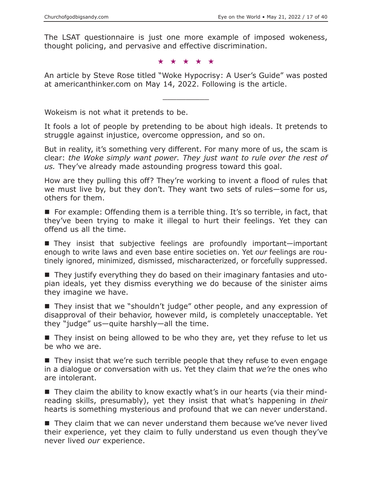The LSAT questionnaire is just one more example of imposed wokeness, thought policing, and pervasive and effective discrimination.

★★★★★

An article by Steve Rose titled "Woke Hypocrisy: A User's Guide" was posted at americanthinker.com on May 14, 2022. Following is the article.

 $\overline{\phantom{a}}$  , where  $\overline{\phantom{a}}$ 

Wokeism is not what it pretends to be.

It fools a lot of people by pretending to be about high ideals. It pretends to struggle against injustice, overcome oppression, and so on.

But in reality, it's something very different. For many more of us, the scam is clear: *the Woke simply want power. They just want to rule over the rest of us.* They've already made astounding progress toward this goal.

How are they pulling this off? They're working to invent a flood of rules that we must live by, but they don't. They want two sets of rules—some for us, others for them.

For example: Offending them is a terrible thing. It's so terrible, in fact, that they've been trying to make it illegal to hurt their feelings. Yet they can offend us all the time.

■ They insist that subjective feelings are profoundly important—important enough to write laws and even base entire societies on. Yet *our* feelings are routinely ignored, minimized, dismissed, mischaracterized, or forcefully suppressed.

 They justify everything they do based on their imaginary fantasies and utopian ideals, yet they dismiss everything we do because of the sinister aims they imagine we have.

■ They insist that we "shouldn't judge" other people, and any expression of disapproval of their behavior, however mild, is completely unacceptable. Yet they "judge" us—quite harshly—all the time.

■ They insist on being allowed to be who they are, yet they refuse to let us be who we are.

■ They insist that we're such terrible people that they refuse to even engage in a dialogue or conversation with us. Yet they claim that *we're* the ones who are intolerant.

■ They claim the ability to know exactly what's in our hearts (via their mindreading skills, presumably), yet they insist that what's happening in *their* hearts is something mysterious and profound that we can never understand.

■ They claim that we can never understand them because we've never lived their experience, yet they claim to fully understand us even though they've never lived *our* experience.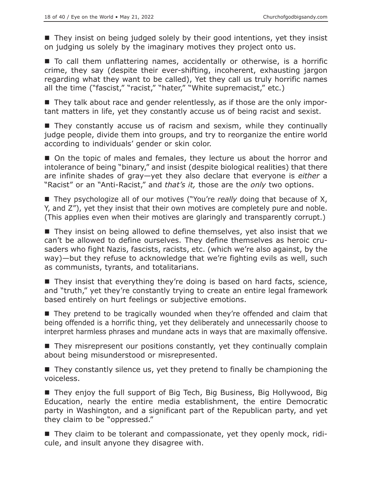■ They insist on being judged solely by their good intentions, yet they insist on judging us solely by the imaginary motives they project onto us.

■ To call them unflattering names, accidentally or otherwise, is a horrific crime, they say (despite their ever-shifting, incoherent, exhausting jargon regarding what they want to be called), Yet they call us truly horrific names all the time ("fascist," "racist," "hater," "White supremacist," etc.)

■ They talk about race and gender relentlessly, as if those are the only important matters in life, yet they constantly accuse us of being racist and sexist.

 They constantly accuse us of racism and sexism, while they continually judge people, divide them into groups, and try to reorganize the entire world according to individuals' gender or skin color.

■ On the topic of males and females, they lecture us about the horror and intolerance of being "binary," and insist (despite biological realities) that there are infinite shades of gray—yet they also declare that everyone is *either* a "Racist" or an "Anti-Racist," and *that's it,* those are the *only* two options.

■ They psychologize all of our motives ("You're *really* doing that because of X, Y, and Z"), yet they insist that their own motives are completely pure and noble. (This applies even when their motives are glaringly and transparently corrupt.)

■ They insist on being allowed to define themselves, yet also insist that we can't be allowed to define ourselves. They define themselves as heroic crusaders who fight Nazis, fascists, racists, etc. (which we're also against, by the way)—but they refuse to acknowledge that we're fighting evils as well, such as communists, tyrants, and totalitarians.

■ They insist that everything they're doing is based on hard facts, science, and "truth," yet they're constantly trying to create an entire legal framework based entirely on hurt feelings or subjective emotions.

■ They pretend to be tragically wounded when they're offended and claim that being offended is a horrific thing, yet they deliberately and unnecessarily choose to interpret harmless phrases and mundane acts in ways that are maximally offensive.

■ They misrepresent our positions constantly, yet they continually complain about being misunderstood or misrepresented.

■ They constantly silence us, yet they pretend to finally be championing the voiceless.

■ They enjoy the full support of Big Tech, Big Business, Big Hollywood, Big Education, nearly the entire media establishment, the entire Democratic party in Washington, and a significant part of the Republican party, and yet they claim to be "oppressed."

■ They claim to be tolerant and compassionate, yet they openly mock, ridicule, and insult anyone they disagree with.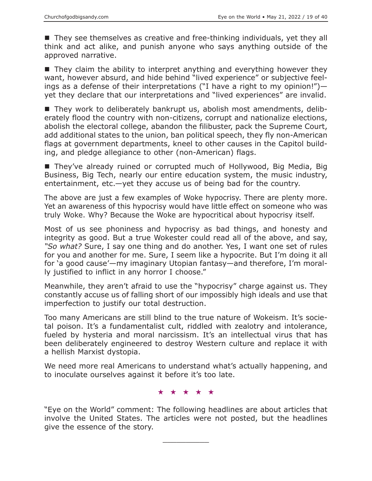■ They see themselves as creative and free-thinking individuals, yet they all think and act alike, and punish anyone who says anything outside of the approved narrative.

 $\blacksquare$  They claim the ability to interpret anything and everything however they want, however absurd, and hide behind "lived experience" or subjective feelings as a defense of their interpretations ("I have a right to my opinion!") yet they declare that our interpretations and "lived experiences" are invalid.

■ They work to deliberately bankrupt us, abolish most amendments, deliberately flood the country with non-citizens, corrupt and nationalize elections, abolish the electoral college, abandon the filibuster, pack the Supreme Court, add additional states to the union, ban political speech, they fly non-American flags at government departments, kneel to other causes in the Capitol building, and pledge allegiance to other (non-American) flags.

 They've already ruined or corrupted much of Hollywood, Big Media, Big Business, Big Tech, nearly our entire education system, the music industry, entertainment, etc.—yet they accuse us of being bad for the country.

The above are just a few examples of Woke hypocrisy. There are plenty more. Yet an awareness of this hypocrisy would have little effect on someone who was truly Woke. Why? Because the Woke are hypocritical about hypocrisy itself.

Most of us see phoniness and hypocrisy as bad things, and honesty and integrity as good. But a true Wokester could read all of the above, and say, *"So what?* Sure, I say one thing and do another. Yes, I want one set of rules for you and another for me. Sure, I seem like a hypocrite. But I'm doing it all for 'a good cause'—my imaginary Utopian fantasy—and therefore, I'm morally justified to inflict in any horror I choose."

Meanwhile, they aren't afraid to use the "hypocrisy" charge against us. They constantly accuse us of falling short of our impossibly high ideals and use that imperfection to justify our total destruction.

Too many Americans are still blind to the true nature of Wokeism. It's societal poison. It's a fundamentalist cult, riddled with zealotry and intolerance, fueled by hysteria and moral narcissism. It's an intellectual virus that has been deliberately engineered to destroy Western culture and replace it with a hellish Marxist dystopia.

We need more real Americans to understand what's actually happening, and to inoculate ourselves against it before it's too late.

★★★★★

"Eye on the World" comment: The following headlines are about articles that involve the United States. The articles were not posted, but the headlines give the essence of the story.

 $\overline{\phantom{a}}$  , where  $\overline{\phantom{a}}$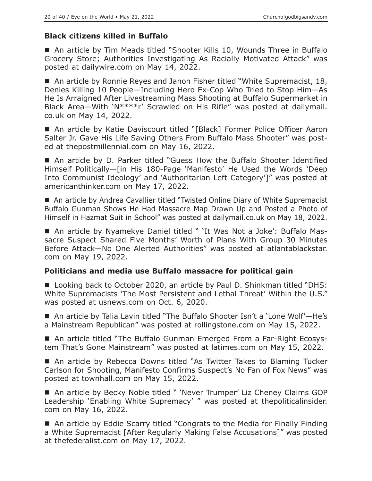# **Black citizens killed in Buffalo**

■ An article by Tim Meads titled "Shooter Kills 10, Wounds Three in Buffalo Grocery Store; Authorities Investigating As Racially Motivated Attack" was posted at dailywire.com on May 14, 2022.

■ An article by Ronnie Reyes and Janon Fisher titled "White Supremacist, 18, Denies Killing 10 People—Including Hero Ex-Cop Who Tried to Stop Him—As He Is Arraigned After Livestreaming Mass Shooting at Buffalo Supermarket in Black Area—With 'N\*\*\*\*r' Scrawled on His Rifle" was posted at dailymail. co.uk on May 14, 2022.

■ An article by Katie Daviscourt titled "[Black] Former Police Officer Aaron Salter Jr. Gave His Life Saving Others From Buffalo Mass Shooter" was posted at thepostmillennial.com on May 16, 2022.

■ An article by D. Parker titled "Guess How the Buffalo Shooter Identified Himself Politically—[in His 180-Page 'Manifesto' He Used the Words 'Deep Into Communist Ideology' and 'Authoritarian Left Category']" was posted at americanthinker.com on May 17, 2022.

■ An article by Andrea Cavallier titled "Twisted Online Diary of White Supremacist Buffalo Gunman Shows He Had Massacre Map Drawn Up and Posted a Photo of Himself in Hazmat Suit in School" was posted at dailymail.co.uk on May 18, 2022.

 An article by Nyamekye Daniel titled " 'It Was Not a Joke': Buffalo Massacre Suspect Shared Five Months' Worth of Plans With Group 30 Minutes Before Attack—No One Alerted Authorities" was posted at atlantablackstar. com on May 19, 2022.

## **Politicians and media use Buffalo massacre for political gain**

■ Looking back to October 2020, an article by Paul D. Shinkman titled "DHS: White Supremacists 'The Most Persistent and Lethal Threat' Within the U.S." was posted at usnews.com on Oct. 6, 2020.

■ An article by Talia Lavin titled "The Buffalo Shooter Isn't a 'Lone Wolf'—He's a Mainstream Republican" was posted at rollingstone.com on May 15, 2022.

 An article titled "The Buffalo Gunman Emerged From a Far-Right Ecosystem That's Gone Mainstream" was posted at latimes.com on May 15, 2022.

■ An article by Rebecca Downs titled "As Twitter Takes to Blaming Tucker Carlson for Shooting, Manifesto Confirms Suspect's No Fan of Fox News" was posted at townhall.com on May 15, 2022.

■ An article by Becky Noble titled " 'Never Trumper' Liz Cheney Claims GOP Leadership 'Enabling White Supremacy' " was posted at thepoliticalinsider. com on May 16, 2022.

■ An article by Eddie Scarry titled "Congrats to the Media for Finally Finding a White Supremacist [After Regularly Making False Accusations]" was posted at thefederalist.com on May 17, 2022.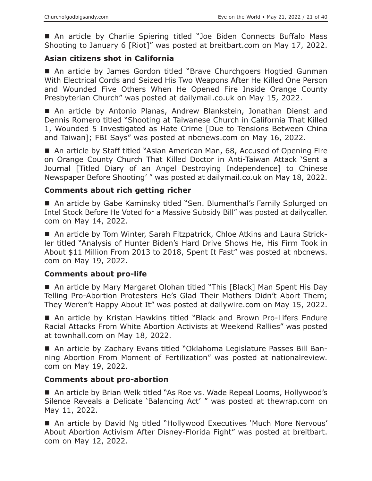■ An article by Charlie Spiering titled "Joe Biden Connects Buffalo Mass Shooting to January 6 [Riot]" was posted at breitbart.com on May 17, 2022.

## **Asian citizens shot in California**

■ An article by James Gordon titled "Brave Churchgoers Hogtied Gunman With Electrical Cords and Seized His Two Weapons After He Killed One Person and Wounded Five Others When He Opened Fire Inside Orange County Presbyterian Church" was posted at dailymail.co.uk on May 15, 2022.

 An article by Antonio Planas, Andrew Blankstein, Jonathan Dienst and Dennis Romero titled "Shooting at Taiwanese Church in California That Killed 1, Wounded 5 Investigated as Hate Crime [Due to Tensions Between China and Taiwan]; FBI Says" was posted at nbcnews.com on May 16, 2022.

■ An article by Staff titled "Asian American Man, 68, Accused of Opening Fire on Orange County Church That Killed Doctor in Anti-Taiwan Attack 'Sent a Journal [Titled Diary of an Angel Destroying Independence] to Chinese Newspaper Before Shooting' " was posted at dailymail.co.uk on May 18, 2022.

## **Comments about rich getting richer**

■ An article by Gabe Kaminsky titled "Sen. Blumenthal's Family Splurged on Intel Stock Before He Voted for a Massive Subsidy Bill" was posted at dailycaller. com on May 14, 2022.

 An article by Tom Winter, Sarah Fitzpatrick, Chloe Atkins and Laura Strickler titled "Analysis of Hunter Biden's Hard Drive Shows He, His Firm Took in About \$11 Million From 2013 to 2018, Spent It Fast" was posted at nbcnews. com on May 19, 2022.

## **Comments about pro-life**

■ An article by Mary Margaret Olohan titled "This [Black] Man Spent His Day Telling Pro-Abortion Protesters He's Glad Their Mothers Didn't Abort Them; They Weren't Happy About It" was posted at dailywire.com on May 15, 2022.

 An article by Kristan Hawkins titled "Black and Brown Pro-Lifers Endure Racial Attacks From White Abortion Activists at Weekend Rallies" was posted at townhall.com on May 18, 2022.

 An article by Zachary Evans titled "Oklahoma Legislature Passes Bill Banning Abortion From Moment of Fertilization" was posted at nationalreview. com on May 19, 2022.

## **Comments about pro-abortion**

■ An article by Brian Welk titled "As Roe vs. Wade Repeal Looms, Hollywood's Silence Reveals a Delicate 'Balancing Act' " was posted at thewrap.com on May 11, 2022.

■ An article by David Ng titled "Hollywood Executives 'Much More Nervous' About Abortion Activism After Disney-Florida Fight" was posted at breitbart. com on May 12, 2022.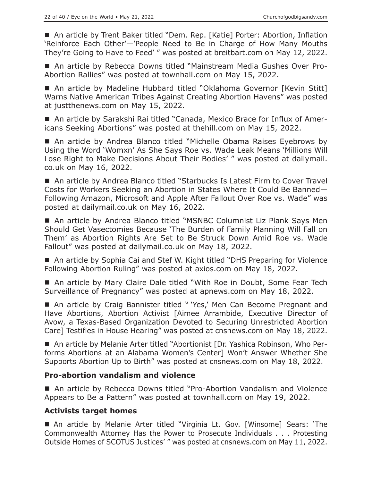■ An article by Trent Baker titled "Dem. Rep. [Katie] Porter: Abortion, Inflation 'Reinforce Each Other'—'People Need to Be in Charge of How Many Mouths They're Going to Have to Feed' " was posted at breitbart.com on May 12, 2022.

 An article by Rebecca Downs titled "Mainstream Media Gushes Over Pro-Abortion Rallies" was posted at townhall.com on May 15, 2022.

■ An article by Madeline Hubbard titled "Oklahoma Governor [Kevin Stitt] Warns Native American Tribes Against Creating Abortion Havens" was posted at justthenews.com on May 15, 2022.

 An article by Sarakshi Rai titled "Canada, Mexico Brace for Influx of Americans Seeking Abortions" was posted at thehill.com on May 15, 2022.

■ An article by Andrea Blanco titled "Michelle Obama Raises Eyebrows by Using the Word 'Womxn' As She Says Roe vs. Wade Leak Means 'Millions Will Lose Right to Make Decisions About Their Bodies' " was posted at dailymail. co.uk on May 16, 2022.

■ An article by Andrea Blanco titled "Starbucks Is Latest Firm to Cover Travel Costs for Workers Seeking an Abortion in States Where It Could Be Banned— Following Amazon, Microsoft and Apple After Fallout Over Roe vs. Wade" was posted at dailymail.co.uk on May 16, 2022.

■ An article by Andrea Blanco titled "MSNBC Columnist Liz Plank Says Men Should Get Vasectomies Because 'The Burden of Family Planning Will Fall on Them' as Abortion Rights Are Set to Be Struck Down Amid Roe vs. Wade Fallout" was posted at dailymail.co.uk on May 18, 2022.

■ An article by Sophia Cai and Stef W. Kight titled "DHS Preparing for Violence Following Abortion Ruling" was posted at axios.com on May 18, 2022.

■ An article by Mary Claire Dale titled "With Roe in Doubt, Some Fear Tech Surveillance of Pregnancy" was posted at apnews.com on May 18, 2022.

■ An article by Craig Bannister titled " 'Yes,' Men Can Become Pregnant and Have Abortions, Abortion Activist [Aimee Arrambide, Executive Director of Avow, a Texas-Based Organization Devoted to Securing Unrestricted Abortion Care] Testifies in House Hearing" was posted at cnsnews.com on May 18, 2022.

 An article by Melanie Arter titled "Abortionist [Dr. Yashica Robinson, Who Performs Abortions at an Alabama Women's Center] Won't Answer Whether She Supports Abortion Up to Birth" was posted at cnsnews.com on May 18, 2022.

## **Pro-abortion vandalism and violence**

■ An article by Rebecca Downs titled "Pro-Abortion Vandalism and Violence Appears to Be a Pattern" was posted at townhall.com on May 19, 2022.

## **Activists target homes**

 An article by Melanie Arter titled "Virginia Lt. Gov. [Winsome] Sears: 'The Commonwealth Attorney Has the Power to Prosecute Individuals . . . Protesting Outside Homes of SCOTUS Justices' " was posted at cnsnews.com on May 11, 2022.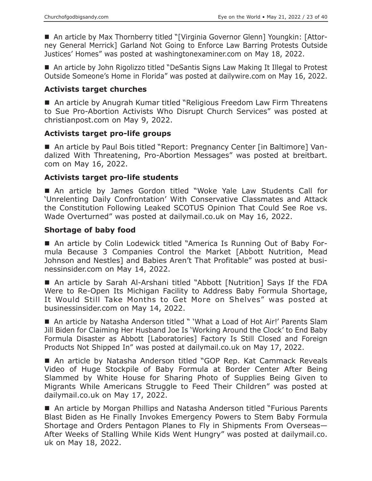■ An article by Max Thornberry titled "[Virginia Governor Glenn] Youngkin: [Attorney General Merrick] Garland Not Going to Enforce Law Barring Protests Outside Justices' Homes" was posted at washingtonexaminer.com on May 18, 2022.

■ An article by John Rigolizzo titled "DeSantis Signs Law Making It Illegal to Protest Outside Someone's Home in Florida" was posted at dailywire.com on May 16, 2022.

## **Activists target churches**

■ An article by Anugrah Kumar titled "Religious Freedom Law Firm Threatens to Sue Pro-Abortion Activists Who Disrupt Church Services" was posted at christianpost.com on May 9, 2022.

#### **Activists target pro-life groups**

■ An article by Paul Bois titled "Report: Pregnancy Center [in Baltimore] Vandalized With Threatening, Pro-Abortion Messages" was posted at breitbart. com on May 16, 2022.

#### **Activists target pro-life students**

 An article by James Gordon titled "Woke Yale Law Students Call for 'Unrelenting Daily Confrontation' With Conservative Classmates and Attack the Constitution Following Leaked SCOTUS Opinion That Could See Roe vs. Wade Overturned" was posted at dailymail.co.uk on May 16, 2022.

#### **Shortage of baby food**

 An article by Colin Lodewick titled "America Is Running Out of Baby Formula Because 3 Companies Control the Market [Abbott Nutrition, Mead Johnson and Nestles] and Babies Aren't That Profitable" was posted at businessinsider.com on May 14, 2022.

 An article by Sarah Al-Arshani titled "Abbott [Nutrition] Says If the FDA Were to Re-Open Its Michigan Facility to Address Baby Formula Shortage, It Would Still Take Months to Get More on Shelves" was posted at businessinsider.com on May 14, 2022.

■ An article by Natasha Anderson titled " 'What a Load of Hot Air!' Parents Slam Jill Biden for Claiming Her Husband Joe Is 'Working Around the Clock' to End Baby Formula Disaster as Abbott [Laboratories] Factory Is Still Closed and Foreign Products Not Shipped In" was posted at dailymail.co.uk on May 17, 2022.

■ An article by Natasha Anderson titled "GOP Rep. Kat Cammack Reveals Video of Huge Stockpile of Baby Formula at Border Center After Being Slammed by White House for Sharing Photo of Supplies Being Given to Migrants While Americans Struggle to Feed Their Children" was posted at dailymail.co.uk on May 17, 2022.

■ An article by Morgan Phillips and Natasha Anderson titled "Furious Parents Blast Biden as He Finally Invokes Emergency Powers to Stem Baby Formula Shortage and Orders Pentagon Planes to Fly in Shipments From Overseas— After Weeks of Stalling While Kids Went Hungry" was posted at dailymail.co. uk on May 18, 2022.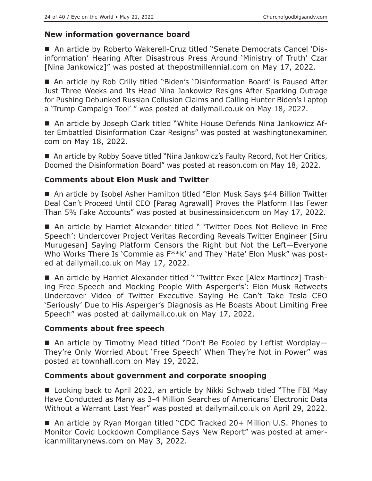## **New information governance board**

■ An article by Roberto Wakerell-Cruz titled "Senate Democrats Cancel 'Disinformation' Hearing After Disastrous Press Around 'Ministry of Truth' Czar [Nina Jankowicz]" was posted at thepostmillennial.com on May 17, 2022.

 An article by Rob Crilly titled "Biden's 'Disinformation Board' is Paused After Just Three Weeks and Its Head Nina Jankowicz Resigns After Sparking Outrage for Pushing Debunked Russian Collusion Claims and Calling Hunter Biden's Laptop a 'Trump Campaign Tool' " was posted at dailymail.co.uk on May 18, 2022.

■ An article by Joseph Clark titled "White House Defends Nina Jankowicz After Embattled Disinformation Czar Resigns" was posted at washingtonexaminer. com on May 18, 2022.

■ An article by Robby Soave titled "Nina Jankowicz's Faulty Record, Not Her Critics, Doomed the Disinformation Board" was posted at reason.com on May 18, 2022.

# **Comments about Elon Musk and Twitter**

■ An article by Isobel Asher Hamilton titled "Elon Musk Says \$44 Billion Twitter Deal Can't Proceed Until CEO [Parag Agrawall] Proves the Platform Has Fewer Than 5% Fake Accounts" was posted at businessinsider.com on May 17, 2022.

■ An article by Harriet Alexander titled " 'Twitter Does Not Believe in Free Speech': Undercover Project Veritas Recording Reveals Twitter Engineer [Siru Murugesan] Saying Platform Censors the Right but Not the Left—Everyone Who Works There Is 'Commie as F\*\*k' and They 'Hate' Elon Musk" was posted at dailymail.co.uk on May 17, 2022.

■ An article by Harriet Alexander titled " 'Twitter Exec [Alex Martinez] Trashing Free Speech and Mocking People With Asperger's': Elon Musk Retweets Undercover Video of Twitter Executive Saying He Can't Take Tesla CEO 'Seriously' Due to His Asperger's Diagnosis as He Boasts About Limiting Free Speech" was posted at dailymail.co.uk on May 17, 2022.

## **Comments about free speech**

■ An article by Timothy Mead titled "Don't Be Fooled by Leftist Wordplay-They're Only Worried About 'Free Speech' When They're Not in Power" was posted at townhall.com on May 19, 2022.

## **Comments about government and corporate snooping**

■ Looking back to April 2022, an article by Nikki Schwab titled "The FBI May Have Conducted as Many as 3-4 Million Searches of Americans' Electronic Data Without a Warrant Last Year" was posted at dailymail.co.uk on April 29, 2022.

■ An article by Ryan Morgan titled "CDC Tracked 20+ Million U.S. Phones to Monitor Covid Lockdown Compliance Says New Report" was posted at americanmilitarynews.com on May 3, 2022.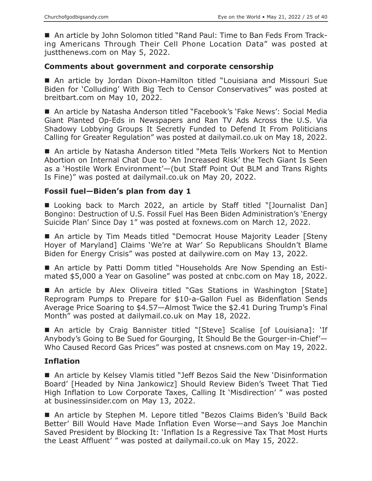■ An article by John Solomon titled "Rand Paul: Time to Ban Feds From Tracking Americans Through Their Cell Phone Location Data" was posted at justthenews.com on May 5, 2022.

#### **Comments about government and corporate censorship**

 An article by Jordan Dixon-Hamilton titled "Louisiana and Missouri Sue Biden for 'Colluding' With Big Tech to Censor Conservatives" was posted at breitbart.com on May 10, 2022.

■ An article by Natasha Anderson titled "Facebook's 'Fake News': Social Media Giant Planted Op-Eds in Newspapers and Ran TV Ads Across the U.S. Via Shadowy Lobbying Groups It Secretly Funded to Defend It From Politicians Calling for Greater Regulation" was posted at dailymail.co.uk on May 18, 2022.

■ An article by Natasha Anderson titled "Meta Tells Workers Not to Mention Abortion on Internal Chat Due to 'An Increased Risk' the Tech Giant Is Seen as a 'Hostile Work Environment'—(but Staff Point Out BLM and Trans Rights Is Fine)" was posted at dailymail.co.uk on May 20, 2022.

## **Fossil fuel—Biden's plan from day 1**

■ Looking back to March 2022, an article by Staff titled "[Journalist Dan] Bongino: Destruction of U.S. Fossil Fuel Has Been Biden Administration's 'Energy Suicide Plan' Since Day 1" was posted at foxnews.com on March 12, 2022.

■ An article by Tim Meads titled "Democrat House Majority Leader [Steny Hoyer of Maryland] Claims 'We're at War' So Republicans Shouldn't Blame Biden for Energy Crisis" was posted at dailywire.com on May 13, 2022.

 An article by Patti Domm titled "Households Are Now Spending an Estimated \$5,000 a Year on Gasoline" was posted at cnbc.com on May 18, 2022.

■ An article by Alex Oliveira titled "Gas Stations in Washington [State] Reprogram Pumps to Prepare for \$10-a-Gallon Fuel as Bidenflation Sends Average Price Soaring to \$4.57—Almost Twice the \$2.41 During Trump's Final Month" was posted at dailymail.co.uk on May 18, 2022.

 An article by Craig Bannister titled "[Steve] Scalise [of Louisiana]: 'If Anybody's Going to Be Sued for Gourging, It Should Be the Gourger-in-Chief'— Who Caused Record Gas Prices" was posted at cnsnews.com on May 19, 2022.

## **Inflation**

 An article by Kelsey Vlamis titled "Jeff Bezos Said the New 'Disinformation Board' [Headed by Nina Jankowicz] Should Review Biden's Tweet That Tied High Inflation to Low Corporate Taxes, Calling It 'Misdirection' " was posted at businessinsider.com on May 13, 2022.

■ An article by Stephen M. Lepore titled "Bezos Claims Biden's 'Build Back Better' Bill Would Have Made Inflation Even Worse—and Says Joe Manchin Saved President by Blocking It: 'Inflation Is a Regressive Tax That Most Hurts the Least Affluent' " was posted at dailymail.co.uk on May 15, 2022.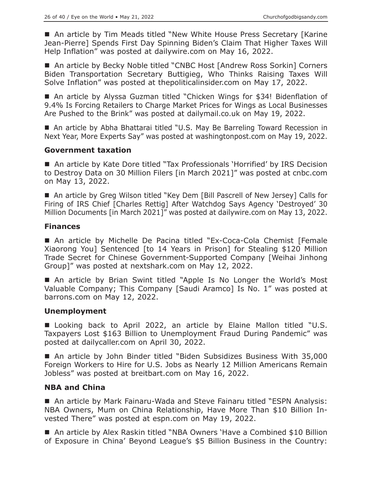■ An article by Tim Meads titled "New White House Press Secretary [Karine Jean-Pierre] Spends First Day Spinning Biden's Claim That Higher Taxes Will Help Inflation" was posted at dailywire.com on May 16, 2022.

■ An article by Becky Noble titled "CNBC Host [Andrew Ross Sorkin] Corners Biden Transportation Secretary Buttigieg, Who Thinks Raising Taxes Will Solve Inflation" was posted at thepoliticalinsider.com on May 17, 2022.

■ An article by Alyssa Guzman titled "Chicken Wings for \$34! Bidenflation of 9.4% Is Forcing Retailers to Charge Market Prices for Wings as Local Businesses Are Pushed to the Brink" was posted at dailymail.co.uk on May 19, 2022.

■ An article by Abha Bhattarai titled "U.S. May Be Barreling Toward Recession in Next Year, More Experts Say" was posted at washingtonpost.com on May 19, 2022.

#### **Government taxation**

■ An article by Kate Dore titled "Tax Professionals 'Horrified' by IRS Decision to Destroy Data on 30 Million Filers [in March 2021]" was posted at cnbc.com on May 13, 2022.

■ An article by Greg Wilson titled "Key Dem [Bill Pascrell of New Jersey] Calls for Firing of IRS Chief [Charles Rettig] After Watchdog Says Agency 'Destroyed' 30 Million Documents [in March 2021]" was posted at dailywire.com on May 13, 2022.

#### **Finances**

■ An article by Michelle De Pacina titled "Ex-Coca-Cola Chemist [Female Xiaorong You] Sentenced [to 14 Years in Prison] for Stealing \$120 Million Trade Secret for Chinese Government-Supported Company [Weihai Jinhong Group]" was posted at nextshark.com on May 12, 2022.

■ An article by Brian Swint titled "Apple Is No Longer the World's Most Valuable Company; This Company [Saudi Aramco] Is No. 1" was posted at barrons.com on May 12, 2022.

## **Unemployment**

■ Looking back to April 2022, an article by Elaine Mallon titled "U.S. Taxpayers Lost \$163 Billion to Unemployment Fraud During Pandemic" was posted at dailycaller.com on April 30, 2022.

 An article by John Binder titled "Biden Subsidizes Business With 35,000 Foreign Workers to Hire for U.S. Jobs as Nearly 12 Million Americans Remain Jobless" was posted at breitbart.com on May 16, 2022.

## **NBA and China**

■ An article by Mark Fainaru-Wada and Steve Fainaru titled "ESPN Analysis: NBA Owners, Mum on China Relationship, Have More Than \$10 Billion Invested There" was posted at espn.com on May 19, 2022.

■ An article by Alex Raskin titled "NBA Owners 'Have a Combined \$10 Billion of Exposure in China' Beyond League's \$5 Billion Business in the Country: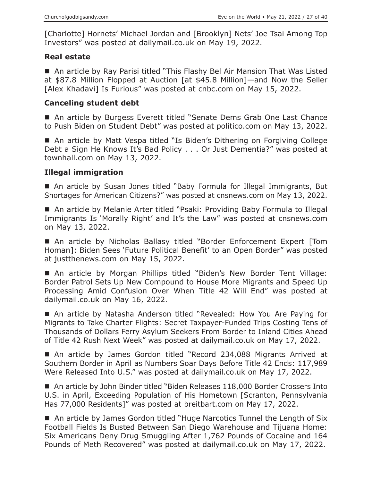[Charlotte] Hornets' Michael Jordan and [Brooklyn] Nets' Joe Tsai Among Top Investors" was posted at dailymail.co.uk on May 19, 2022.

# **Real estate**

■ An article by Ray Parisi titled "This Flashy Bel Air Mansion That Was Listed at \$87.8 Million Flopped at Auction [at \$45.8 Million]—and Now the Seller [Alex Khadavi] Is Furious" was posted at cnbc.com on May 15, 2022.

## **Canceling student debt**

■ An article by Burgess Everett titled "Senate Dems Grab One Last Chance to Push Biden on Student Debt" was posted at politico.com on May 13, 2022.

■ An article by Matt Vespa titled "Is Biden's Dithering on Forgiving College Debt a Sign He Knows It's Bad Policy . . . Or Just Dementia?" was posted at townhall.com on May 13, 2022.

# **Illegal immigration**

 An article by Susan Jones titled "Baby Formula for Illegal Immigrants, But Shortages for American Citizens?" was posted at cnsnews.com on May 13, 2022.

■ An article by Melanie Arter titled "Psaki: Providing Baby Formula to Illegal Immigrants Is 'Morally Right' and It's the Law" was posted at cnsnews.com on May 13, 2022.

 An article by Nicholas Ballasy titled "Border Enforcement Expert [Tom Homan]: Biden Sees 'Future Political Benefit' to an Open Border" was posted at justthenews.com on May 15, 2022.

 An article by Morgan Phillips titled "Biden's New Border Tent Village: Border Patrol Sets Up New Compound to House More Migrants and Speed Up Processing Amid Confusion Over When Title 42 Will End" was posted at dailymail.co.uk on May 16, 2022.

■ An article by Natasha Anderson titled "Revealed: How You Are Paying for Migrants to Take Charter Flights: Secret Taxpayer-Funded Trips Costing Tens of Thousands of Dollars Ferry Asylum Seekers From Border to Inland Cities Ahead of Title 42 Rush Next Week" was posted at dailymail.co.uk on May 17, 2022.

 An article by James Gordon titled "Record 234,088 Migrants Arrived at Southern Border in April as Numbers Soar Days Before Title 42 Ends: 117,989 Were Released Into U.S." was posted at dailymail.co.uk on May 17, 2022.

■ An article by John Binder titled "Biden Releases 118,000 Border Crossers Into U.S. in April, Exceeding Population of His Hometown [Scranton, Pennsylvania Has 77,000 Residents]" was posted at breitbart.com on May 17, 2022.

 An article by James Gordon titled "Huge Narcotics Tunnel the Length of Six Football Fields Is Busted Between San Diego Warehouse and Tijuana Home: Six Americans Deny Drug Smuggling After 1,762 Pounds of Cocaine and 164 Pounds of Meth Recovered" was posted at dailymail.co.uk on May 17, 2022.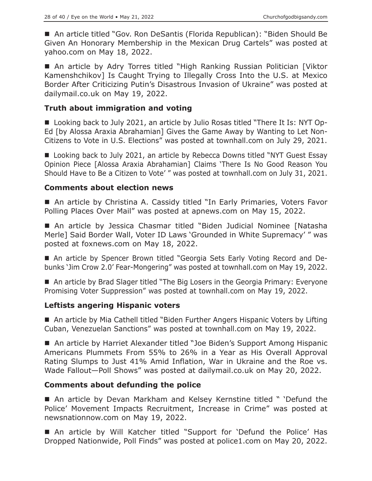■ An article titled "Gov. Ron DeSantis (Florida Republican): "Biden Should Be Given An Honorary Membership in the Mexican Drug Cartels" was posted at yahoo.com on May 18, 2022.

■ An article by Adry Torres titled "High Ranking Russian Politician [Viktor Kamenshchikov] Is Caught Trying to Illegally Cross Into the U.S. at Mexico Border After Criticizing Putin's Disastrous Invasion of Ukraine" was posted at dailymail.co.uk on May 19, 2022.

## **Truth about immigration and voting**

■ Looking back to July 2021, an article by Julio Rosas titled "There It Is: NYT Op-Ed [by Alossa Araxia Abrahamian] Gives the Game Away by Wanting to Let Non-Citizens to Vote in U.S. Elections" was posted at townhall.com on July 29, 2021.

■ Looking back to July 2021, an article by Rebecca Downs titled "NYT Guest Essay Opinion Piece [Alossa Araxia Abrahamian] Claims 'There Is No Good Reason You Should Have to Be a Citizen to Vote' " was posted at townhall.com on July 31, 2021.

## **Comments about election news**

 An article by Christina A. Cassidy titled "In Early Primaries, Voters Favor Polling Places Over Mail" was posted at apnews.com on May 15, 2022.

 An article by Jessica Chasmar titled "Biden Judicial Nominee [Natasha Merle] Said Border Wall, Voter ID Laws 'Grounded in White Supremacy' " was posted at foxnews.com on May 18, 2022.

 An article by Spencer Brown titled "Georgia Sets Early Voting Record and Debunks 'Jim Crow 2.0' Fear-Mongering" was posted at townhall.com on May 19, 2022.

■ An article by Brad Slager titled "The Big Losers in the Georgia Primary: Everyone Promising Voter Suppression" was posted at townhall.com on May 19, 2022.

# **Leftists angering Hispanic voters**

■ An article by Mia Cathell titled "Biden Further Angers Hispanic Voters by Lifting Cuban, Venezuelan Sanctions" was posted at townhall.com on May 19, 2022.

■ An article by Harriet Alexander titled "Joe Biden's Support Among Hispanic Americans Plummets From 55% to 26% in a Year as His Overall Approval Rating Slumps to Just 41% Amid Inflation, War in Ukraine and the Roe vs. Wade Fallout—Poll Shows" was posted at dailymail.co.uk on May 20, 2022.

## **Comments about defunding the police**

 An article by Devan Markham and Kelsey Kernstine titled " 'Defund the Police' Movement Impacts Recruitment, Increase in Crime" was posted at newsnationnow.com on May 19, 2022.

 An article by Will Katcher titled "Support for 'Defund the Police' Has Dropped Nationwide, Poll Finds" was posted at police1.com on May 20, 2022.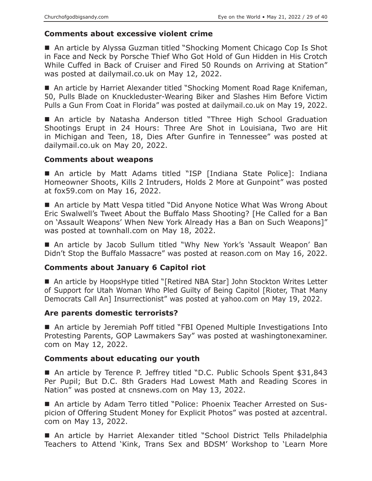## **Comments about excessive violent crime**

■ An article by Alyssa Guzman titled "Shocking Moment Chicago Cop Is Shot in Face and Neck by Porsche Thief Who Got Hold of Gun Hidden in His Crotch While Cuffed in Back of Cruiser and Fired 50 Rounds on Arriving at Station" was posted at dailymail.co.uk on May 12, 2022.

■ An article by Harriet Alexander titled "Shocking Moment Road Rage Knifeman, 50, Pulls Blade on Knuckleduster-Wearing Biker and Slashes Him Before Victim Pulls a Gun From Coat in Florida" was posted at dailymail.co.uk on May 19, 2022.

 An article by Natasha Anderson titled "Three High School Graduation Shootings Erupt in 24 Hours: Three Are Shot in Louisiana, Two are Hit in Michigan and Teen, 18, Dies After Gunfire in Tennessee" was posted at dailymail.co.uk on May 20, 2022.

## **Comments about weapons**

 An article by Matt Adams titled "ISP [Indiana State Police]: Indiana Homeowner Shoots, Kills 2 Intruders, Holds 2 More at Gunpoint" was posted at fox59.com on May 16, 2022.

■ An article by Matt Vespa titled "Did Anyone Notice What Was Wrong About Eric Swalwell's Tweet About the Buffalo Mass Shooting? [He Called for a Ban on 'Assault Weapons' When New York Already Has a Ban on Such Weapons]" was posted at townhall.com on May 18, 2022.

 An article by Jacob Sullum titled "Why New York's 'Assault Weapon' Ban Didn't Stop the Buffalo Massacre" was posted at reason.com on May 16, 2022.

## **Comments about January 6 Capitol riot**

■ An article by HoopsHype titled "[Retired NBA Star] John Stockton Writes Letter of Support for Utah Woman Who Pled Guilty of Being Capitol [Rioter, That Many Democrats Call An] Insurrectionist" was posted at yahoo.com on May 19, 2022.

## **Are parents domestic terrorists?**

■ An article by Jeremiah Poff titled "FBI Opened Multiple Investigations Into Protesting Parents, GOP Lawmakers Say" was posted at washingtonexaminer. com on May 12, 2022.

## **Comments about educating our youth**

■ An article by Terence P. Jeffrey titled "D.C. Public Schools Spent \$31,843 Per Pupil; But D.C. 8th Graders Had Lowest Math and Reading Scores in Nation" was posted at cnsnews.com on May 13, 2022.

■ An article by Adam Terro titled "Police: Phoenix Teacher Arrested on Suspicion of Offering Student Money for Explicit Photos" was posted at azcentral. com on May 13, 2022.

 An article by Harriet Alexander titled "School District Tells Philadelphia Teachers to Attend 'Kink, Trans Sex and BDSM' Workshop to 'Learn More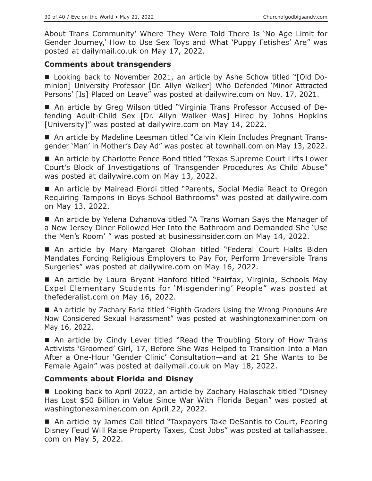About Trans Community' Where They Were Told There Is 'No Age Limit for Gender Journey,' How to Use Sex Toys and What 'Puppy Fetishes' Are" was posted at dailymail.co.uk on May 17, 2022.

#### **Comments about transgenders**

■ Looking back to November 2021, an article by Ashe Schow titled "[Old Dominion] University Professor [Dr. Allyn Walker] Who Defended 'Minor Attracted Persons' [Is] Placed on Leave" was posted at dailywire.com on Nov. 17, 2021.

■ An article by Greg Wilson titled "Virginia Trans Professor Accused of Defending Adult-Child Sex [Dr. Allyn Walker Was] Hired by Johns Hopkins [University]" was posted at dailywire.com on May 14, 2022.

 An article by Madeline Leesman titled "Calvin Klein Includes Pregnant Transgender 'Man' in Mother's Day Ad" was posted at townhall.com on May 13, 2022.

■ An article by Charlotte Pence Bond titled "Texas Supreme Court Lifts Lower Court's Block of Investigations of Transgender Procedures As Child Abuse" was posted at dailywire.com on May 13, 2022.

■ An article by Mairead Elordi titled "Parents, Social Media React to Oregon Requiring Tampons in Boys School Bathrooms" was posted at dailywire.com on May 13, 2022.

■ An article by Yelena Dzhanova titled "A Trans Woman Says the Manager of a New Jersey Diner Followed Her Into the Bathroom and Demanded She 'Use the Men's Room' " was posted at businessinsider.com on May 14, 2022.

■ An article by Mary Margaret Olohan titled "Federal Court Halts Biden Mandates Forcing Religious Employers to Pay For, Perform Irreversible Trans Surgeries" was posted at dailywire.com on May 16, 2022.

 An article by Laura Bryant Hanford titled "Fairfax, Virginia, Schools May Expel Elementary Students for 'Misgendering' People" was posted at thefederalist.com on May 16, 2022.

■ An article by Zachary Faria titled "Eighth Graders Using the Wrong Pronouns Are Now Considered Sexual Harassment" was posted at washingtonexaminer.com on May 16, 2022.

■ An article by Cindy Lever titled "Read the Troubling Story of How Trans Activists 'Groomed' Girl, 17, Before She Was Helped to Transition Into a Man After a One-Hour 'Gender Clinic' Consultation—and at 21 She Wants to Be Female Again" was posted at dailymail.co.uk on May 18, 2022.

## **Comments about Florida and Disney**

■ Looking back to April 2022, an article by Zachary Halaschak titled "Disney Has Lost \$50 Billion in Value Since War With Florida Began" was posted at washingtonexaminer.com on April 22, 2022.

■ An article by James Call titled "Taxpayers Take DeSantis to Court, Fearing Disney Feud Will Raise Property Taxes, Cost Jobs" was posted at tallahassee. com on May 5, 2022.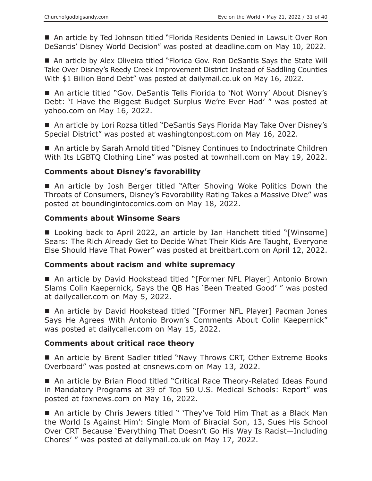■ An article by Ted Johnson titled "Florida Residents Denied in Lawsuit Over Ron DeSantis' Disney World Decision" was posted at deadline.com on May 10, 2022.

 An article by Alex Oliveira titled "Florida Gov. Ron DeSantis Says the State Will Take Over Disney's Reedy Creek Improvement District Instead of Saddling Counties With \$1 Billion Bond Debt" was posted at dailymail.co.uk on May 16, 2022.

■ An article titled "Gov. DeSantis Tells Florida to 'Not Worry' About Disney's Debt: 'I Have the Biggest Budget Surplus We're Ever Had' " was posted at yahoo.com on May 16, 2022.

■ An article by Lori Rozsa titled "DeSantis Says Florida May Take Over Disney's Special District" was posted at washingtonpost.com on May 16, 2022.

■ An article by Sarah Arnold titled "Disney Continues to Indoctrinate Children With Its LGBTQ Clothing Line" was posted at townhall.com on May 19, 2022.

# **Comments about Disney's favorability**

■ An article by Josh Berger titled "After Shoving Woke Politics Down the Throats of Consumers, Disney's Favorability Rating Takes a Massive Dive" was posted at boundingintocomics.com on May 18, 2022.

#### **Comments about Winsome Sears**

■ Looking back to April 2022, an article by Ian Hanchett titled "[Winsome] Sears: The Rich Already Get to Decide What Their Kids Are Taught, Everyone Else Should Have That Power" was posted at breitbart.com on April 12, 2022.

## **Comments about racism and white supremacy**

■ An article by David Hookstead titled "[Former NFL Player] Antonio Brown Slams Colin Kaepernick, Says the QB Has 'Been Treated Good' " was posted at dailycaller.com on May 5, 2022.

■ An article by David Hookstead titled "[Former NFL Player] Pacman Jones Says He Agrees With Antonio Brown's Comments About Colin Kaepernick" was posted at dailycaller.com on May 15, 2022.

## **Comments about critical race theory**

■ An article by Brent Sadler titled "Navy Throws CRT, Other Extreme Books Overboard" was posted at cnsnews.com on May 13, 2022.

■ An article by Brian Flood titled "Critical Race Theory-Related Ideas Found in Mandatory Programs at 39 of Top 50 U.S. Medical Schools: Report" was posted at foxnews.com on May 16, 2022.

■ An article by Chris Jewers titled " 'They've Told Him That as a Black Man the World Is Against Him': Single Mom of Biracial Son, 13, Sues His School Over CRT Because 'Everything That Doesn't Go His Way Is Racist—Including Chores' " was posted at dailymail.co.uk on May 17, 2022.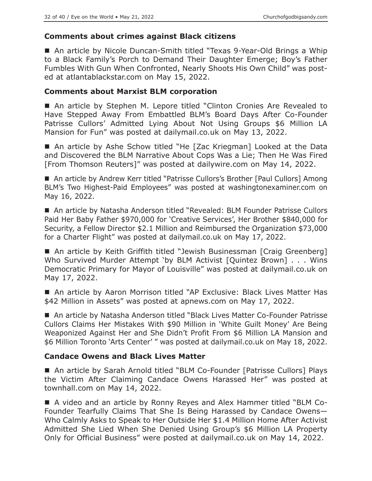## **Comments about crimes against Black citizens**

■ An article by Nicole Duncan-Smith titled "Texas 9-Year-Old Brings a Whip to a Black Family's Porch to Demand Their Daughter Emerge; Boy's Father Fumbles With Gun When Confronted, Nearly Shoots His Own Child" was posted at atlantablackstar.com on May 15, 2022.

## **Comments about Marxist BLM corporation**

■ An article by Stephen M. Lepore titled "Clinton Cronies Are Revealed to Have Stepped Away From Embattled BLM's Board Days After Co-Founder Patrisse Cullors' Admitted Lying About Not Using Groups \$6 Million LA Mansion for Fun" was posted at dailymail.co.uk on May 13, 2022.

 An article by Ashe Schow titled "He [Zac Kriegman] Looked at the Data and Discovered the BLM Narrative About Cops Was a Lie; Then He Was Fired [From Thomson Reuters]" was posted at dailywire.com on May 14, 2022.

■ An article by Andrew Kerr titled "Patrisse Cullors's Brother [Paul Cullors] Among BLM's Two Highest-Paid Employees" was posted at washingtonexaminer.com on May 16, 2022.

■ An article by Natasha Anderson titled "Revealed: BLM Founder Patrisse Cullors Paid Her Baby Father \$970,000 for 'Creative Services', Her Brother \$840,000 for Security, a Fellow Director \$2.1 Million and Reimbursed the Organization \$73,000 for a Charter Flight" was posted at dailymail.co.uk on May 17, 2022.

■ An article by Keith Griffith titled "Jewish Businessman [Craig Greenberg] Who Survived Murder Attempt 'by BLM Activist [Quintez Brown] . . . Wins Democratic Primary for Mayor of Louisville" was posted at dailymail.co.uk on May 17, 2022.

■ An article by Aaron Morrison titled "AP Exclusive: Black Lives Matter Has \$42 Million in Assets" was posted at apnews.com on May 17, 2022.

■ An article by Natasha Anderson titled "Black Lives Matter Co-Founder Patrisse Cullors Claims Her Mistakes With \$90 Million in 'White Guilt Money' Are Being Weaponized Against Her and She Didn't Profit From \$6 Million LA Mansion and \$6 Million Toronto 'Arts Center' " was posted at dailymail.co.uk on May 18, 2022.

## **Candace Owens and Black Lives Matter**

■ An article by Sarah Arnold titled "BLM Co-Founder [Patrisse Cullors] Plays the Victim After Claiming Candace Owens Harassed Her" was posted at townhall.com on May 14, 2022.

 A video and an article by Ronny Reyes and Alex Hammer titled "BLM Co-Founder Tearfully Claims That She Is Being Harassed by Candace Owens— Who Calmly Asks to Speak to Her Outside Her \$1.4 Million Home After Activist Admitted She Lied When She Denied Using Group's \$6 Million LA Property Only for Official Business" were posted at dailymail.co.uk on May 14, 2022.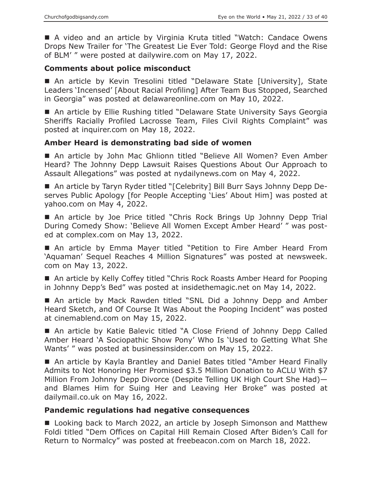■ A video and an article by Virginia Kruta titled "Watch: Candace Owens Drops New Trailer for 'The Greatest Lie Ever Told: George Floyd and the Rise of BLM' " were posted at dailywire.com on May 17, 2022.

#### **Comments about police misconduct**

■ An article by Kevin Tresolini titled "Delaware State [University], State Leaders 'Incensed' [About Racial Profiling] After Team Bus Stopped, Searched in Georgia" was posted at delawareonline.com on May 10, 2022.

■ An article by Ellie Rushing titled "Delaware State University Says Georgia Sheriffs Racially Profiled Lacrosse Team, Files Civil Rights Complaint" was posted at inquirer.com on May 18, 2022.

#### **Amber Heard is demonstrating bad side of women**

 An article by John Mac Ghlionn titled "Believe All Women? Even Amber Heard? The Johnny Depp Lawsuit Raises Questions About Our Approach to Assault Allegations" was posted at nydailynews.com on May 4, 2022.

 An article by Taryn Ryder titled "[Celebrity] Bill Burr Says Johnny Depp Deserves Public Apology [for People Accepting 'Lies' About Him] was posted at yahoo.com on May 4, 2022.

■ An article by Joe Price titled "Chris Rock Brings Up Johnny Depp Trial During Comedy Show: 'Believe All Women Except Amber Heard' " was posted at complex.com on May 13, 2022.

 An article by Emma Mayer titled "Petition to Fire Amber Heard From 'Aquaman' Sequel Reaches 4 Million Signatures" was posted at newsweek. com on May 13, 2022.

■ An article by Kelly Coffey titled "Chris Rock Roasts Amber Heard for Pooping in Johnny Depp's Bed" was posted at insidethemagic.net on May 14, 2022.

■ An article by Mack Rawden titled "SNL Did a Johnny Depp and Amber Heard Sketch, and Of Course It Was About the Pooping Incident" was posted at cinemablend.com on May 15, 2022.

 An article by Katie Balevic titled "A Close Friend of Johnny Depp Called Amber Heard 'A Sociopathic Show Pony' Who Is 'Used to Getting What She Wants' " was posted at businessinsider.com on May 15, 2022.

■ An article by Kayla Brantley and Daniel Bates titled "Amber Heard Finally Admits to Not Honoring Her Promised \$3.5 Million Donation to ACLU With \$7 Million From Johnny Depp Divorce (Despite Telling UK High Court She Had) and Blames Him for Suing Her and Leaving Her Broke" was posted at dailymail.co.uk on May 16, 2022.

#### **Pandemic regulations had negative consequences**

■ Looking back to March 2022, an article by Joseph Simonson and Matthew Foldi titled "Dem Offices on Capital Hill Remain Closed After Biden's Call for Return to Normalcy" was posted at freebeacon.com on March 18, 2022.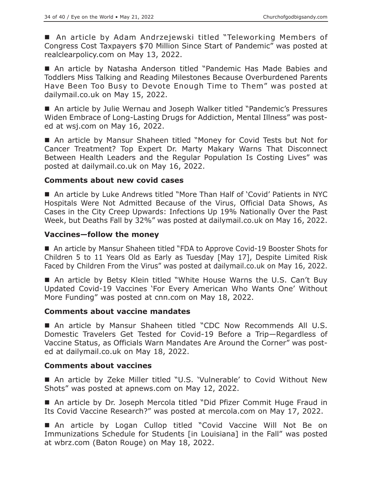An article by Adam Andrzejewski titled "Teleworking Members of Congress Cost Taxpayers \$70 Million Since Start of Pandemic" was posted at realclearpolicy.com on May 13, 2022.

 An article by Natasha Anderson titled "Pandemic Has Made Babies and Toddlers Miss Talking and Reading Milestones Because Overburdened Parents Have Been Too Busy to Devote Enough Time to Them" was posted at dailymail.co.uk on May 15, 2022.

■ An article by Julie Wernau and Joseph Walker titled "Pandemic's Pressures Widen Embrace of Long-Lasting Drugs for Addiction, Mental Illness" was posted at wsj.com on May 16, 2022.

■ An article by Mansur Shaheen titled "Money for Covid Tests but Not for Cancer Treatment? Top Expert Dr. Marty Makary Warns That Disconnect Between Health Leaders and the Regular Population Is Costing Lives" was posted at dailymail.co.uk on May 16, 2022.

## **Comments about new covid cases**

 An article by Luke Andrews titled "More Than Half of 'Covid' Patients in NYC Hospitals Were Not Admitted Because of the Virus, Official Data Shows, As Cases in the City Creep Upwards: Infections Up 19% Nationally Over the Past Week, but Deaths Fall by 32%" was posted at dailymail.co.uk on May 16, 2022.

#### **Vaccines—follow the money**

■ An article by Mansur Shaheen titled "FDA to Approve Covid-19 Booster Shots for Children 5 to 11 Years Old as Early as Tuesday [May 17], Despite Limited Risk Faced by Children From the Virus" was posted at dailymail.co.uk on May 16, 2022.

■ An article by Betsy Klein titled "White House Warns the U.S. Can't Buy Updated Covid-19 Vaccines 'For Every American Who Wants One' Without More Funding" was posted at cnn.com on May 18, 2022.

#### **Comments about vaccine mandates**

 An article by Mansur Shaheen titled "CDC Now Recommends All U.S. Domestic Travelers Get Tested for Covid-19 Before a Trip—Regardless of Vaccine Status, as Officials Warn Mandates Are Around the Corner" was posted at dailymail.co.uk on May 18, 2022.

## **Comments about vaccines**

 An article by Zeke Miller titled "U.S. 'Vulnerable' to Covid Without New Shots" was posted at apnews.com on May 12, 2022.

■ An article by Dr. Joseph Mercola titled "Did Pfizer Commit Huge Fraud in Its Covid Vaccine Research?" was posted at mercola.com on May 17, 2022.

 An article by Logan Cullop titled "Covid Vaccine Will Not Be on Immunizations Schedule for Students [in Louisiana] in the Fall" was posted at wbrz.com (Baton Rouge) on May 18, 2022.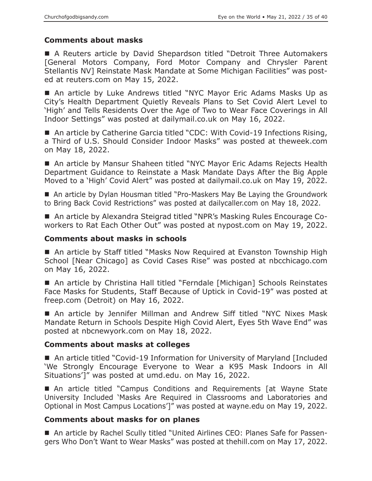# **Comments about masks**

■ A Reuters article by David Shepardson titled "Detroit Three Automakers [General Motors Company, Ford Motor Company and Chrysler Parent Stellantis NV] Reinstate Mask Mandate at Some Michigan Facilities" was posted at reuters.com on May 15, 2022.

■ An article by Luke Andrews titled "NYC Mayor Eric Adams Masks Up as City's Health Department Quietly Reveals Plans to Set Covid Alert Level to 'High' and Tells Residents Over the Age of Two to Wear Face Coverings in All Indoor Settings" was posted at dailymail.co.uk on May 16, 2022.

■ An article by Catherine Garcia titled "CDC: With Covid-19 Infections Rising, a Third of U.S. Should Consider Indoor Masks" was posted at theweek.com on May 18, 2022.

■ An article by Mansur Shaheen titled "NYC Mayor Eric Adams Rejects Health Department Guidance to Reinstate a Mask Mandate Days After the Big Apple Moved to a 'High' Covid Alert" was posted at dailymail.co.uk on May 19, 2022.

■ An article by Dylan Housman titled "Pro-Maskers May Be Laying the Groundwork to Bring Back Covid Restrictions" was posted at dailycaller.com on May 18, 2022.

■ An article by Alexandra Steigrad titled "NPR's Masking Rules Encourage Coworkers to Rat Each Other Out" was posted at nypost.com on May 19, 2022.

#### **Comments about masks in schools**

■ An article by Staff titled "Masks Now Required at Evanston Township High School [Near Chicago] as Covid Cases Rise" was posted at nbcchicago.com on May 16, 2022.

■ An article by Christina Hall titled "Ferndale [Michigan] Schools Reinstates Face Masks for Students, Staff Because of Uptick in Covid-19" was posted at freep.com (Detroit) on May 16, 2022.

■ An article by Jennifer Millman and Andrew Siff titled "NYC Nixes Mask Mandate Return in Schools Despite High Covid Alert, Eyes 5th Wave End" was posted at nbcnewyork.com on May 18, 2022.

## **Comments about masks at colleges**

■ An article titled "Covid-19 Information for University of Maryland [Included] 'We Strongly Encourage Everyone to Wear a K95 Mask Indoors in All Situations']" was posted at umd.edu. on May 16, 2022.

■ An article titled "Campus Conditions and Requirements [at Wayne State University Included 'Masks Are Required in Classrooms and Laboratories and Optional in Most Campus Locations']" was posted at wayne.edu on May 19, 2022.

## **Comments about masks for on planes**

 An article by Rachel Scully titled "United Airlines CEO: Planes Safe for Passengers Who Don't Want to Wear Masks" was posted at thehill.com on May 17, 2022.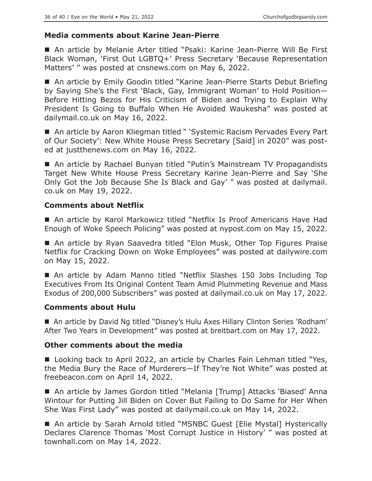#### **Media comments about Karine Jean-Pierre**

 An article by Melanie Arter titled "Psaki: Karine Jean-Pierre Will Be First Black Woman, 'First Out LGBTQ+' Press Secretary 'Because Representation Matters' " was posted at cnsnews.com on May 6, 2022.

■ An article by Emily Goodin titled "Karine Jean-Pierre Starts Debut Briefing by Saying She's the First 'Black, Gay, Immigrant Woman' to Hold Position— Before Hitting Bezos for His Criticism of Biden and Trying to Explain Why President Is Going to Buffalo When He Avoided Waukesha" was posted at dailymail.co.uk on May 16, 2022.

■ An article by Aaron Kliegman titled " 'Systemic Racism Pervades Every Part of Our Society': New White House Press Secretary [Said] in 2020" was posted at justthenews.com on May 16, 2022.

■ An article by Rachael Bunyan titled "Putin's Mainstream TV Propagandists Target New White House Press Secretary Karine Jean-Pierre and Say 'She Only Got the Job Because She Is Black and Gay' " was posted at dailymail. co.uk on May 19, 2022.

## **Comments about Netflix**

■ An article by Karol Markowicz titled "Netflix Is Proof Americans Have Had Enough of Woke Speech Policing" was posted at nypost.com on May 15, 2022.

■ An article by Ryan Saavedra titled "Elon Musk, Other Top Figures Praise Netflix for Cracking Down on Woke Employees" was posted at dailywire.com on May 15, 2022.

 An article by Adam Manno titled "Netflix Slashes 150 Jobs Including Top Executives From Its Original Content Team Amid Plummeting Revenue and Mass Exodus of 200,000 Subscribers" was posted at dailymail.co.uk on May 17, 2022.

## **Comments about Hulu**

■ An article by David Ng titled "Disney's Hulu Axes Hillary Clinton Series 'Rodham' After Two Years in Development" was posted at breitbart.com on May 17, 2022.

#### **Other comments about the media**

■ Looking back to April 2022, an article by Charles Fain Lehman titled "Yes, the Media Bury the Race of Murderers—If They're Not White" was posted at freebeacon.com on April 14, 2022.

■ An article by James Gordon titled "Melania [Trump] Attacks 'Biased' Anna Wintour for Putting Jill Biden on Cover But Failing to Do Same for Her When She Was First Lady" was posted at dailymail.co.uk on May 14, 2022.

■ An article by Sarah Arnold titled "MSNBC Guest [Elie Mystal] Hysterically Declares Clarence Thomas 'Most Corrupt Justice in History' " was posted at townhall.com on May 14, 2022.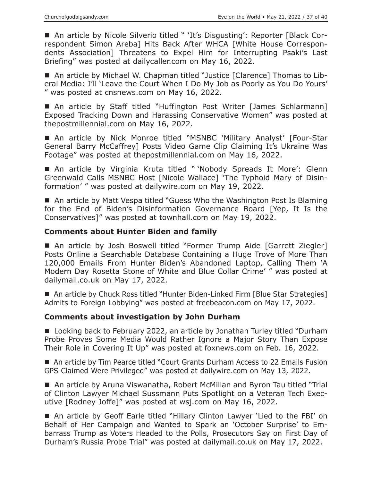■ An article by Nicole Silverio titled " 'It's Disgusting': Reporter [Black Correspondent Simon Areba] Hits Back After WHCA [White House Correspondents Association] Threatens to Expel Him for Interrupting Psaki's Last Briefing" was posted at dailycaller.com on May 16, 2022.

■ An article by Michael W. Chapman titled "Justice [Clarence] Thomas to Liberal Media: I'll 'Leave the Court When I Do My Job as Poorly as You Do Yours' " was posted at cnsnews.com on May 16, 2022.

■ An article by Staff titled "Huffington Post Writer [James Schlarmann] Exposed Tracking Down and Harassing Conservative Women" was posted at thepostmillennial.com on May 16, 2022.

 An article by Nick Monroe titled "MSNBC 'Military Analyst' [Four-Star General Barry McCaffrey] Posts Video Game Clip Claiming It's Ukraine Was Footage" was posted at thepostmillennial.com on May 16, 2022.

■ An article by Virginia Kruta titled " 'Nobody Spreads It More': Glenn Greenwald Calls MSNBC Host [Nicole Wallace] 'The Typhoid Mary of Disinformation' " was posted at dailywire.com on May 19, 2022.

■ An article by Matt Vespa titled "Guess Who the Washington Post Is Blaming for the End of Biden's Disinformation Governance Board [Yep, It Is the Conservatives]" was posted at townhall.com on May 19, 2022.

## **Comments about Hunter Biden and family**

■ An article by Josh Boswell titled "Former Trump Aide [Garrett Ziegler] Posts Online a Searchable Database Containing a Huge Trove of More Than 120,000 Emails From Hunter Biden's Abandoned Laptop, Calling Them 'A Modern Day Rosetta Stone of White and Blue Collar Crime' " was posted at dailymail.co.uk on May 17, 2022.

■ An article by Chuck Ross titled "Hunter Biden-Linked Firm [Blue Star Strategies] Admits to Foreign Lobbying" was posted at freebeacon.com on May 17, 2022.

#### **Comments about investigation by John Durham**

■ Looking back to February 2022, an article by Jonathan Turley titled "Durham Probe Proves Some Media Would Rather Ignore a Major Story Than Expose Their Role in Covering It Up" was posted at foxnews.com on Feb. 16, 2022.

■ An article by Tim Pearce titled "Court Grants Durham Access to 22 Emails Fusion GPS Claimed Were Privileged" was posted at dailywire.com on May 13, 2022.

 An article by Aruna Viswanatha, Robert McMillan and Byron Tau titled "Trial of Clinton Lawyer Michael Sussmann Puts Spotlight on a Veteran Tech Executive [Rodney Joffe]" was posted at wsj.com on May 16, 2022.

 An article by Geoff Earle titled "Hillary Clinton Lawyer 'Lied to the FBI' on Behalf of Her Campaign and Wanted to Spark an 'October Surprise' to Embarrass Trump as Voters Headed to the Polls, Prosecutors Say on First Day of Durham's Russia Probe Trial" was posted at dailymail.co.uk on May 17, 2022.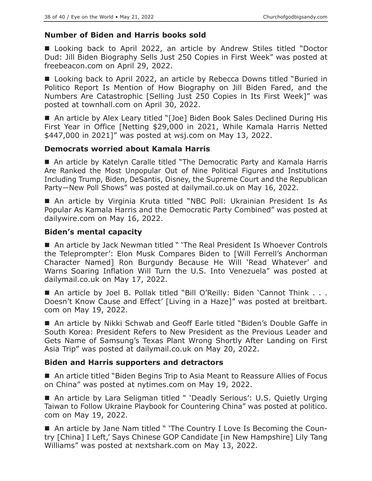## **Number of Biden and Harris books sold**

■ Looking back to April 2022, an article by Andrew Stiles titled "Doctor Dud: Jill Biden Biography Sells Just 250 Copies in First Week" was posted at freebeacon.com on April 29, 2022.

■ Looking back to April 2022, an article by Rebecca Downs titled "Buried in Politico Report Is Mention of How Biography on Jill Biden Fared, and the Numbers Are Catastrophic [Selling Just 250 Copies in Its First Week]" was posted at townhall.com on April 30, 2022.

■ An article by Alex Leary titled "[Joe] Biden Book Sales Declined During His First Year in Office [Netting \$29,000 in 2021, While Kamala Harris Netted \$447,000 in 2021]" was posted at wsj.com on May 13, 2022.

# **Democrats worried about Kamala Harris**

 An article by Katelyn Caralle titled "The Democratic Party and Kamala Harris Are Ranked the Most Unpopular Out of Nine Political Figures and Institutions Including Trump, Biden, DeSantis, Disney, the Supreme Court and the Republican Party—New Poll Shows" was posted at dailymail.co.uk on May 16, 2022.

 An article by Virginia Kruta titled "NBC Poll: Ukrainian President Is As Popular As Kamala Harris and the Democratic Party Combined" was posted at dailywire.com on May 16, 2022.

# **Biden's mental capacity**

■ An article by Jack Newman titled " 'The Real President Is Whoever Controls the Teleprompter': Elon Musk Compares Biden to [Will Ferrell's Anchorman Character Named] Ron Burgundy Because He Will 'Read Whatever' and Warns Soaring Inflation Will Turn the U.S. Into Venezuela" was posted at dailymail.co.uk on May 17, 2022.

■ An article by Joel B. Pollak titled "Bill O'Reilly: Biden 'Cannot Think . . . Doesn't Know Cause and Effect' [Living in a Haze]" was posted at breitbart. com on May 19, 2022.

■ An article by Nikki Schwab and Geoff Earle titled "Biden's Double Gaffe in South Korea: President Refers to New President as the Previous Leader and Gets Name of Samsung's Texas Plant Wrong Shortly After Landing on First Asia Trip" was posted at dailymail.co.uk on May 20, 2022.

## **Biden and Harris supporters and detractors**

■ An article titled "Biden Begins Trip to Asia Meant to Reassure Allies of Focus on China" was posted at nytimes.com on May 19, 2022.

■ An article by Lara Seligman titled " 'Deadly Serious': U.S. Quietly Urging Taiwan to Follow Ukraine Playbook for Countering China" was posted at politico. com on May 19, 2022.

■ An article by Jane Nam titled " 'The Country I Love Is Becoming the Country [China] I Left,' Says Chinese GOP Candidate [in New Hampshire] Lily Tang Williams" was posted at nextshark.com on May 13, 2022.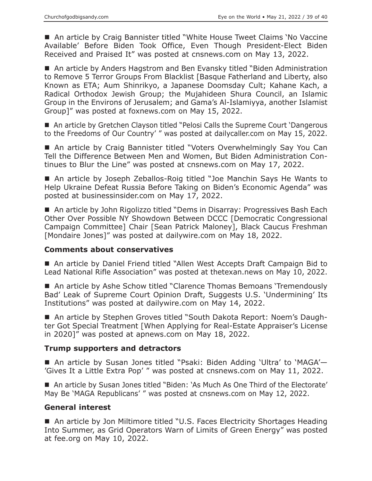■ An article by Craig Bannister titled "White House Tweet Claims 'No Vaccine Available' Before Biden Took Office, Even Though President-Elect Biden Received and Praised It" was posted at cnsnews.com on May 13, 2022.

■ An article by Anders Hagstrom and Ben Evansky titled "Biden Administration to Remove 5 Terror Groups From Blacklist [Basque Fatherland and Liberty, also Known as ETA; Aum Shinrikyo, a Japanese Doomsday Cult; Kahane Kach, a Radical Orthodox Jewish Group; the Mujahideen Shura Council, an Islamic Group in the Environs of Jerusalem; and Gama's Al-Islamiyya, another Islamist Group]" was posted at foxnews.com on May 15, 2022.

■ An article by Gretchen Clayson titled "Pelosi Calls the Supreme Court 'Dangerous to the Freedoms of Our Country' " was posted at dailycaller.com on May 15, 2022.

■ An article by Craig Bannister titled "Voters Overwhelmingly Say You Can Tell the Difference Between Men and Women, But Biden Administration Continues to Blur the Line" was posted at cnsnews.com on May 17, 2022.

■ An article by Joseph Zeballos-Roig titled "Joe Manchin Says He Wants to Help Ukraine Defeat Russia Before Taking on Biden's Economic Agenda" was posted at businessinsider.com on May 17, 2022.

■ An article by John Rigolizzo titled "Dems in Disarray: Progressives Bash Each Other Over Possible NY Showdown Between DCCC [Democratic Congressional Campaign Committee] Chair [Sean Patrick Maloney], Black Caucus Freshman [Mondaire Jones]" was posted at dailywire.com on May 18, 2022.

## **Comments about conservatives**

 An article by Daniel Friend titled "Allen West Accepts Draft Campaign Bid to Lead National Rifle Association" was posted at thetexan.news on May 10, 2022.

■ An article by Ashe Schow titled "Clarence Thomas Bemoans 'Tremendously Bad' Leak of Supreme Court Opinion Draft, Suggests U.S. 'Undermining' Its Institutions" was posted at dailywire.com on May 14, 2022.

■ An article by Stephen Groves titled "South Dakota Report: Noem's Daughter Got Special Treatment [When Applying for Real-Estate Appraiser's License in 2020]" was posted at apnews.com on May 18, 2022.

#### **Trump supporters and detractors**

■ An article by Susan Jones titled "Psaki: Biden Adding 'Ultra' to 'MAGA'— 'Gives It a Little Extra Pop' " was posted at cnsnews.com on May 11, 2022.

 An article by Susan Jones titled "Biden: 'As Much As One Third of the Electorate' May Be 'MAGA Republicans' " was posted at cnsnews.com on May 12, 2022.

#### **General interest**

■ An article by Jon Miltimore titled "U.S. Faces Electricity Shortages Heading Into Summer, as Grid Operators Warn of Limits of Green Energy" was posted at fee.org on May 10, 2022.